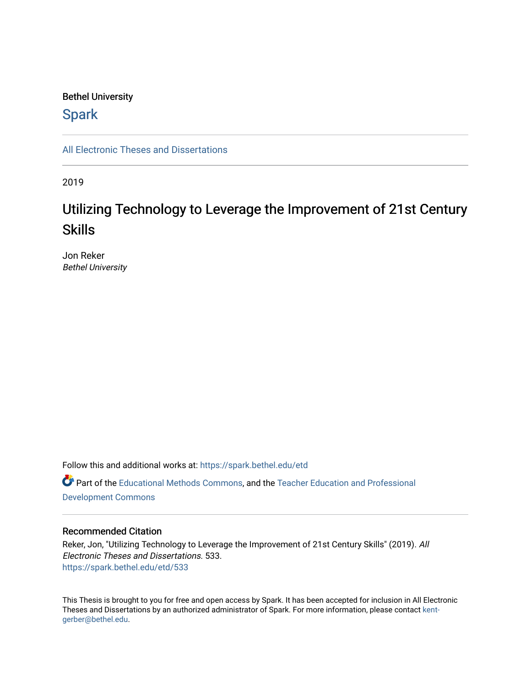# Bethel University

# **Spark**

[All Electronic Theses and Dissertations](https://spark.bethel.edu/etd) 

2019

# Utilizing Technology to Leverage the Improvement of 21st Century Skills

Jon Reker Bethel University

Follow this and additional works at: [https://spark.bethel.edu/etd](https://spark.bethel.edu/etd?utm_source=spark.bethel.edu%2Fetd%2F533&utm_medium=PDF&utm_campaign=PDFCoverPages) Part of the [Educational Methods Commons,](http://network.bepress.com/hgg/discipline/1227?utm_source=spark.bethel.edu%2Fetd%2F533&utm_medium=PDF&utm_campaign=PDFCoverPages) and the [Teacher Education and Professional](http://network.bepress.com/hgg/discipline/803?utm_source=spark.bethel.edu%2Fetd%2F533&utm_medium=PDF&utm_campaign=PDFCoverPages)  [Development Commons](http://network.bepress.com/hgg/discipline/803?utm_source=spark.bethel.edu%2Fetd%2F533&utm_medium=PDF&utm_campaign=PDFCoverPages) 

### Recommended Citation

Reker, Jon, "Utilizing Technology to Leverage the Improvement of 21st Century Skills" (2019). All Electronic Theses and Dissertations. 533. [https://spark.bethel.edu/etd/533](https://spark.bethel.edu/etd/533?utm_source=spark.bethel.edu%2Fetd%2F533&utm_medium=PDF&utm_campaign=PDFCoverPages)

This Thesis is brought to you for free and open access by Spark. It has been accepted for inclusion in All Electronic Theses and Dissertations by an authorized administrator of Spark. For more information, please contact [kent](mailto:kent-gerber@bethel.edu)[gerber@bethel.edu.](mailto:kent-gerber@bethel.edu)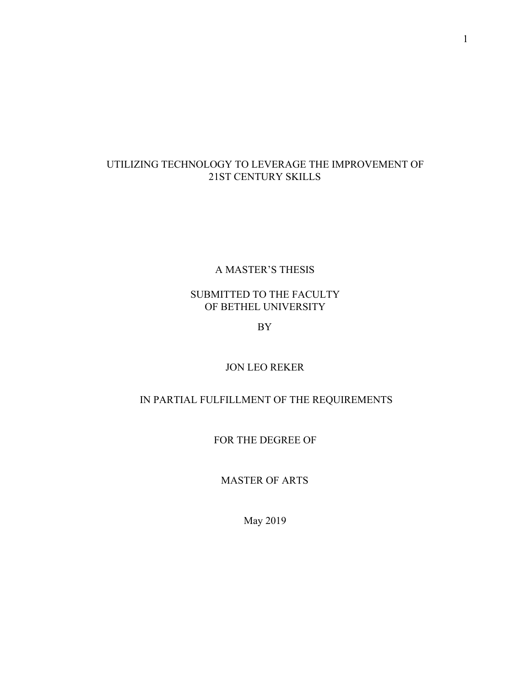# UTILIZING TECHNOLOGY TO LEVERAGE THE IMPROVEMENT OF 21ST CENTURY SKILLS

# A MASTER'S THESIS

# SUBMITTED TO THE FACULTY OF BETHEL UNIVERSITY

BY

# JON LEO REKER

# IN PARTIAL FULFILLMENT OF THE REQUIREMENTS

FOR THE DEGREE OF

MASTER OF ARTS

May 2019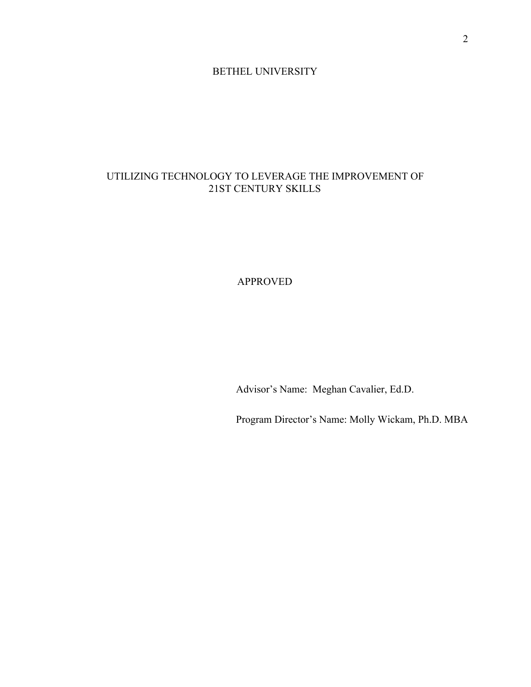## BETHEL UNIVERSITY

# UTILIZING TECHNOLOGY TO LEVERAGE THE IMPROVEMENT OF 21ST CENTURY SKILLS

# APPROVED

Advisor's Name: Meghan Cavalier, Ed.D.

Program Director's Name: Molly Wickam, Ph.D. MBA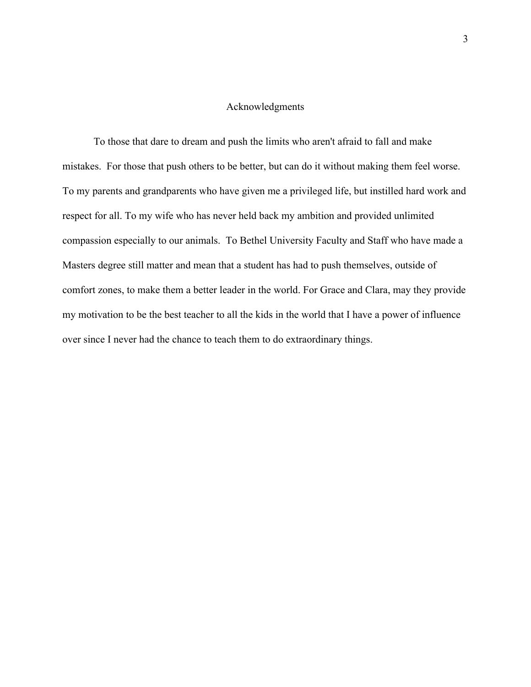## Acknowledgments

To those that dare to dream and push the limits who aren't afraid to fall and make mistakes. For those that push others to be better, but can do it without making them feel worse. To my parents and grandparents who have given me a privileged life, but instilled hard work and respect for all. To my wife who has never held back my ambition and provided unlimited compassion especially to our animals. To Bethel University Faculty and Staff who have made a Masters degree still matter and mean that a student has had to push themselves, outside of comfort zones, to make them a better leader in the world. For Grace and Clara, may they provide my motivation to be the best teacher to all the kids in the world that I have a power of influence over since I never had the chance to teach them to do extraordinary things.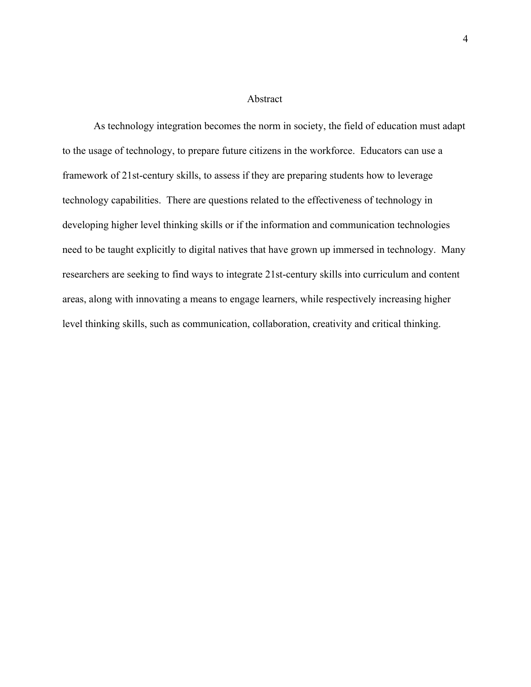#### Abstract

As technology integration becomes the norm in society, the field of education must adapt to the usage of technology, to prepare future citizens in the workforce. Educators can use a framework of 21st-century skills, to assess if they are preparing students how to leverage technology capabilities. There are questions related to the effectiveness of technology in developing higher level thinking skills or if the information and communication technologies need to be taught explicitly to digital natives that have grown up immersed in technology. Many researchers are seeking to find ways to integrate 21st-century skills into curriculum and content areas, along with innovating a means to engage learners, while respectively increasing higher level thinking skills, such as communication, collaboration, creativity and critical thinking.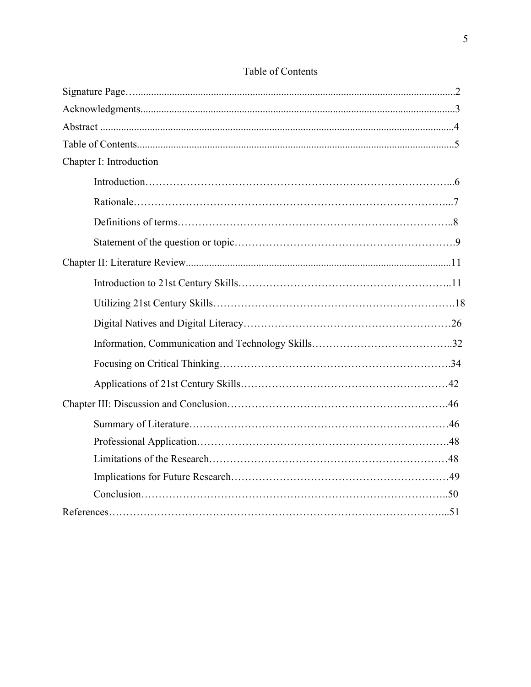| Chapter I: Introduction |  |
|-------------------------|--|
|                         |  |
|                         |  |
|                         |  |
|                         |  |
|                         |  |
|                         |  |
|                         |  |
|                         |  |
|                         |  |
|                         |  |
|                         |  |
|                         |  |
|                         |  |
|                         |  |
|                         |  |
|                         |  |
|                         |  |
|                         |  |

# Table of Contents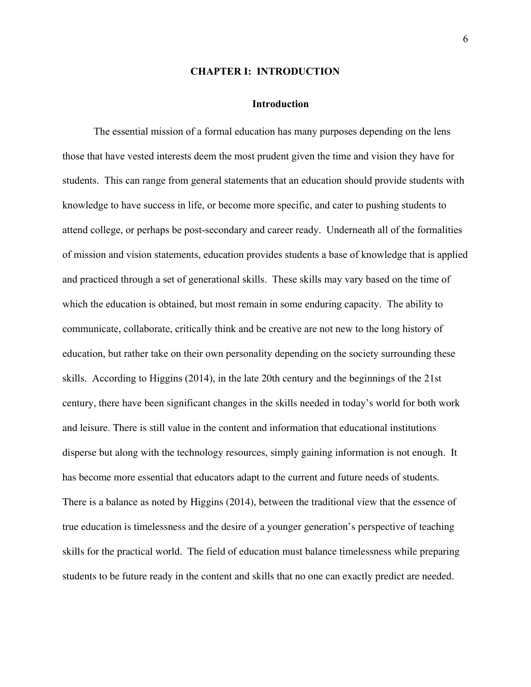#### **CHAPTER I: INTRODUCTION**

#### **Introduction**

The essential mission of a formal education has many purposes depending on the lens those that have vested interests deem the most prudent given the time and vision they have for students. This can range from general statements that an education should provide students with knowledge to have success in life, or become more specific, and cater to pushing students to attend college, or perhaps be post-secondary and career ready. Underneath all of the formalities of mission and vision statements, education provides students a base of knowledge that is applied and practiced through a set of generational skills. These skills may vary based on the time of which the education is obtained, but most remain in some enduring capacity. The ability to communicate, collaborate, critically think and be creative are not new to the long history of education, but rather take on their own personality depending on the society surrounding these skills. According to Higgins (2014), in the late 20th century and the beginnings of the 21st century, there have been significant changes in the skills needed in today's world for both work and leisure. There is still value in the content and information that educational institutions disperse but along with the technology resources, simply gaining information is not enough. It has become more essential that educators adapt to the current and future needs of students. There is a balance as noted by Higgins (2014), between the traditional view that the essence of true education is timelessness and the desire of a younger generation's perspective of teaching skills for the practical world. The field of education must balance timelessness while preparing students to be future ready in the content and skills that no one can exactly predict are needed.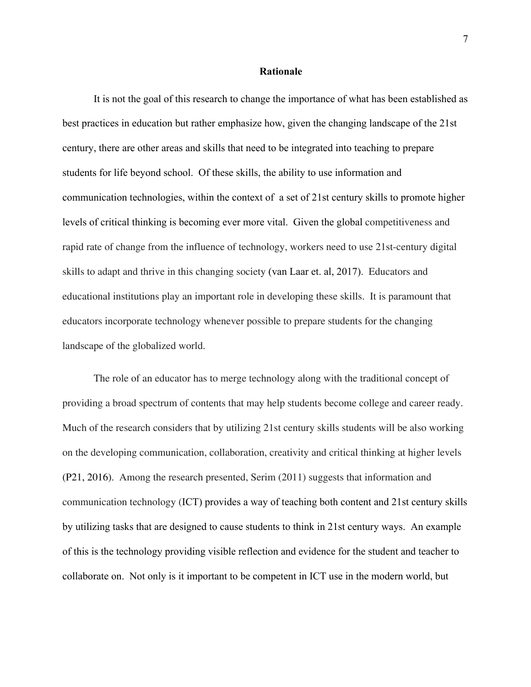#### **Rationale**

It is not the goal of this research to change the importance of what has been established as best practices in education but rather emphasize how, given the changing landscape of the 21st century, there are other areas and skills that need to be integrated into teaching to prepare students for life beyond school. Of these skills, the ability to use information and communication technologies, within the context of a set of 21st century skills to promote higher levels of critical thinking is becoming ever more vital. Given the global competitiveness and rapid rate of change from the influence of technology, workers need to use 21st-century digital skills to adapt and thrive in this changing society (van Laar et. al, 2017). Educators and educational institutions play an important role in developing these skills. It is paramount that educators incorporate technology whenever possible to prepare students for the changing landscape of the globalized world.

The role of an educator has to merge technology along with the traditional concept of providing a broad spectrum of contents that may help students become college and career ready. Much of the research considers that by utilizing 21st century skills students will be also working on the developing communication, collaboration, creativity and critical thinking at higher levels (P21, 2016). Among the research presented, Serim (2011) suggests that information and communication technology (ICT) provides a way of teaching both content and 21st century skills by utilizing tasks that are designed to cause students to think in 21st century ways. An example of this is the technology providing visible reflection and evidence for the student and teacher to collaborate on. Not only is it important to be competent in ICT use in the modern world, but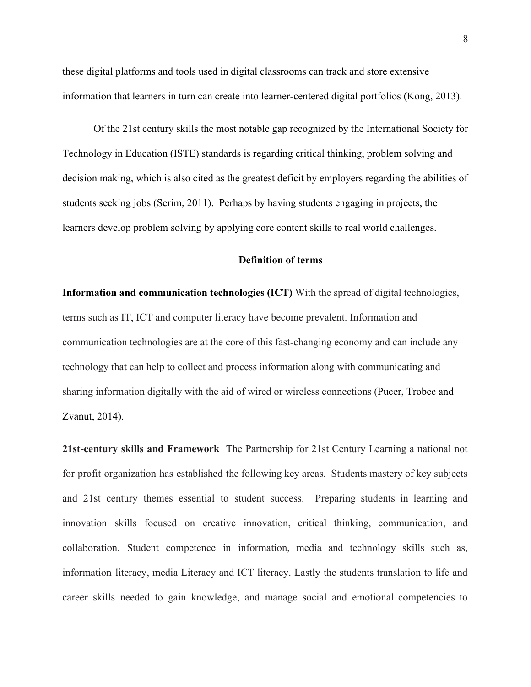these digital platforms and tools used in digital classrooms can track and store extensive information that learners in turn can create into learner-centered digital portfolios (Kong, 2013).

Of the 21st century skills the most notable gap recognized by the International Society for Technology in Education (ISTE) standards is regarding critical thinking, problem solving and decision making, which is also cited as the greatest deficit by employers regarding the abilities of students seeking jobs (Serim, 2011). Perhaps by having students engaging in projects, the learners develop problem solving by applying core content skills to real world challenges.

# **Definition of terms**

**Information and communication technologies (ICT)** With the spread of digital technologies, terms such as IT, ICT and computer literacy have become prevalent. Information and communication technologies are at the core of this fast-changing economy and can include any technology that can help to collect and process information along with communicating and sharing information digitally with the aid of wired or wireless connections (Pucer, Trobec and Zvanut, 2014).

**21st-century skills and Framework** The Partnership for 21st Century Learning a national not for profit organization has established the following key areas. Students mastery of key subjects and 21st century themes essential to student success. Preparing students in learning and innovation skills focused on creative innovation, critical thinking, communication, and collaboration. Student competence in information, media and technology skills such as, information literacy, media Literacy and ICT literacy. Lastly the students translation to life and career skills needed to gain knowledge, and manage social and emotional competencies to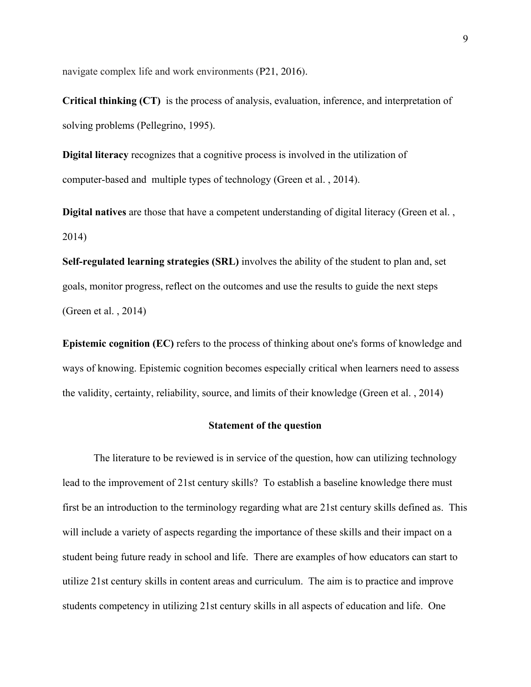navigate complex life and work environments (P21, 2016).

**Critical thinking (CT)** is the process of analysis, evaluation, inference, and interpretation of solving problems (Pellegrino, 1995).

**Digital literacy** recognizes that a cognitive process is involved in the utilization of computer-based and multiple types of technology (Green et al. , 2014).

**Digital natives** are those that have a competent understanding of digital literacy (Green et al., 2014)

**Self-regulated learning strategies (SRL)** involves the ability of the student to plan and, set goals, monitor progress, reflect on the outcomes and use the results to guide the next steps (Green et al. , 2014)

**Epistemic cognition (EC)** refers to the process of thinking about one's forms of knowledge and ways of knowing. Epistemic cognition becomes especially critical when learners need to assess the validity, certainty, reliability, source, and limits of their knowledge (Green et al. , 2014)

#### **Statement of the question**

The literature to be reviewed is in service of the question, how can utilizing technology lead to the improvement of 21st century skills? To establish a baseline knowledge there must first be an introduction to the terminology regarding what are 21st century skills defined as. This will include a variety of aspects regarding the importance of these skills and their impact on a student being future ready in school and life. There are examples of how educators can start to utilize 21st century skills in content areas and curriculum. The aim is to practice and improve students competency in utilizing 21st century skills in all aspects of education and life. One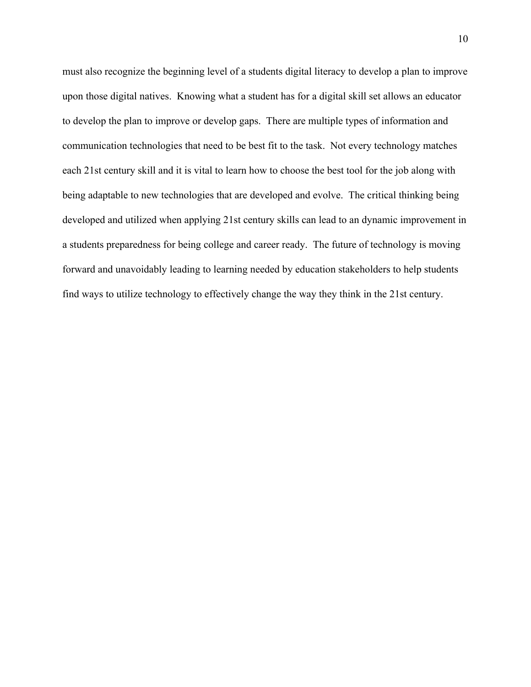must also recognize the beginning level of a students digital literacy to develop a plan to improve upon those digital natives. Knowing what a student has for a digital skill set allows an educator to develop the plan to improve or develop gaps. There are multiple types of information and communication technologies that need to be best fit to the task. Not every technology matches each 21st century skill and it is vital to learn how to choose the best tool for the job along with being adaptable to new technologies that are developed and evolve. The critical thinking being developed and utilized when applying 21st century skills can lead to an dynamic improvement in a students preparedness for being college and career ready. The future of technology is moving forward and unavoidably leading to learning needed by education stakeholders to help students find ways to utilize technology to effectively change the way they think in the 21st century.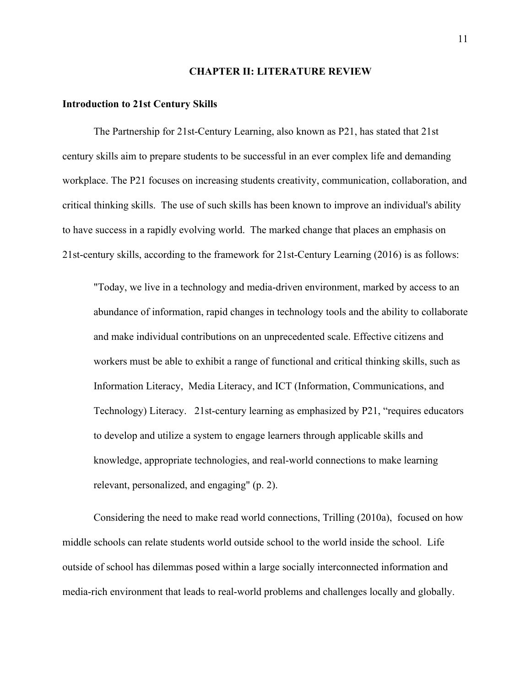#### **CHAPTER II: LITERATURE REVIEW**

#### **Introduction to 21st Century Skills**

The Partnership for 21st-Century Learning, also known as P21, has stated that 21st century skills aim to prepare students to be successful in an ever complex life and demanding workplace. The P21 focuses on increasing students creativity, communication, collaboration, and critical thinking skills. The use of such skills has been known to improve an individual's ability to have success in a rapidly evolving world. The marked change that places an emphasis on 21st-century skills, according to the framework for 21st-Century Learning (2016) is as follows:

"Today, we live in a technology and media-driven environment, marked by access to an abundance of information, rapid changes in technology tools and the ability to collaborate and make individual contributions on an unprecedented scale. Effective citizens and workers must be able to exhibit a range of functional and critical thinking skills, such as Information Literacy, Media Literacy, and ICT (Information, Communications, and Technology) Literacy. 21st-century learning as emphasized by P21, "requires educators to develop and utilize a system to engage learners through applicable skills and knowledge, appropriate technologies, and real-world connections to make learning relevant, personalized, and engaging" (p. 2).

Considering the need to make read world connections, Trilling (2010a), focused on how middle schools can relate students world outside school to the world inside the school. Life outside of school has dilemmas posed within a large socially interconnected information and media-rich environment that leads to real-world problems and challenges locally and globally.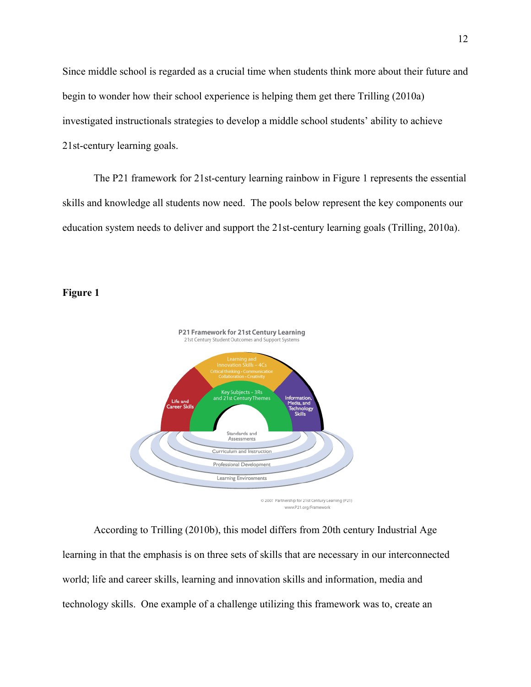Since middle school is regarded as a crucial time when students think more about their future and begin to wonder how their school experience is helping them get there Trilling (2010a) investigated instructionals strategies to develop a middle school students' ability to achieve 21st-century learning goals.

The P21 framework for 21st-century learning rainbow in Figure 1 represents the essential skills and knowledge all students now need. The pools below represent the key components our education system needs to deliver and support the 21st-century learning goals (Trilling, 2010a).

# **Figure 1**



According to Trilling (2010b), this model differs from 20th century Industrial Age learning in that the emphasis is on three sets of skills that are necessary in our interconnected world; life and career skills, learning and innovation skills and information, media and technology skills. One example of a challenge utilizing this framework was to, create an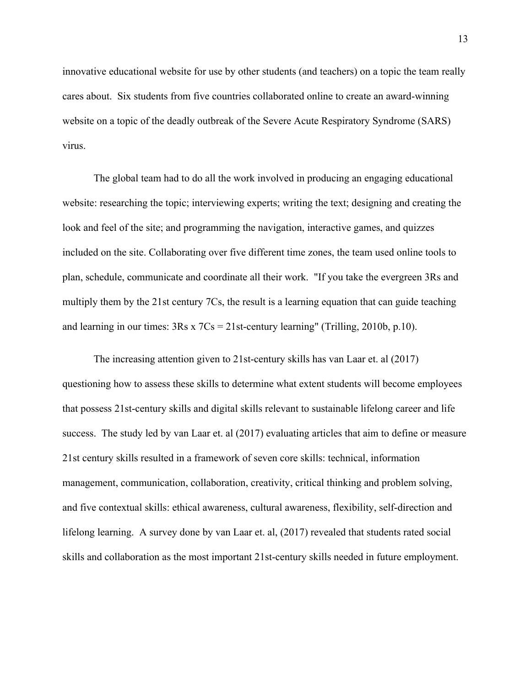innovative educational website for use by other students (and teachers) on a topic the team really cares about. Six students from five countries collaborated online to create an award-winning website on a topic of the deadly outbreak of the Severe Acute Respiratory Syndrome (SARS) virus.

The global team had to do all the work involved in producing an engaging educational website: researching the topic; interviewing experts; writing the text; designing and creating the look and feel of the site; and programming the navigation, interactive games, and quizzes included on the site. Collaborating over five different time zones, the team used online tools to plan, schedule, communicate and coordinate all their work. "If you take the evergreen 3Rs and multiply them by the 21st century 7Cs, the result is a learning equation that can guide teaching and learning in our times:  $3Rs \times 7Cs = 21st-century learning'' (Trilling, 2010b, p.10).$ 

The increasing attention given to 21st-century skills has van Laar et. al (2017) questioning how to assess these skills to determine what extent students will become employees that possess 21st-century skills and digital skills relevant to sustainable lifelong career and life success. The study led by van Laar et. al (2017) evaluating articles that aim to define or measure 21st century skills resulted in a framework of seven core skills: technical, information management, communication, collaboration, creativity, critical thinking and problem solving, and five contextual skills: ethical awareness, cultural awareness, flexibility, self-direction and lifelong learning. A survey done by van Laar et. al, (2017) revealed that students rated social skills and collaboration as the most important 21st-century skills needed in future employment.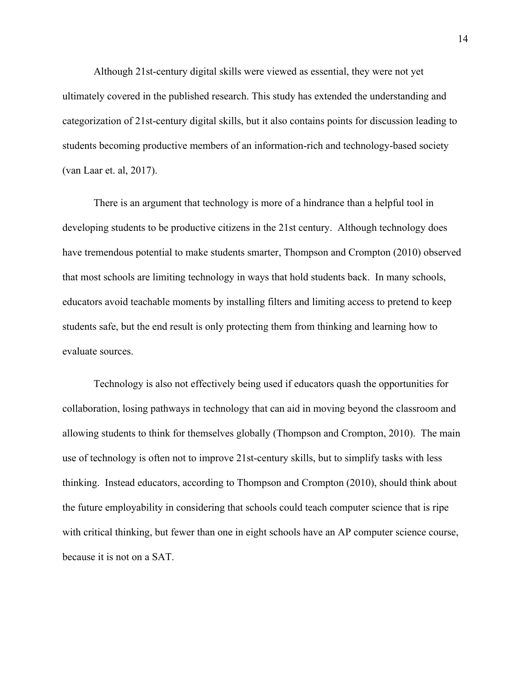Although 21st-century digital skills were viewed as essential, they were not yet ultimately covered in the published research. This study has extended the understanding and categorization of 21st-century digital skills, but it also contains points for discussion leading to students becoming productive members of an information-rich and technology-based society (van Laar et. al, 2017).

There is an argument that technology is more of a hindrance than a helpful tool in developing students to be productive citizens in the 21st century. Although technology does have tremendous potential to make students smarter, Thompson and Crompton (2010) observed that most schools are limiting technology in ways that hold students back. In many schools, educators avoid teachable moments by installing filters and limiting access to pretend to keep students safe, but the end result is only protecting them from thinking and learning how to evaluate sources.

Technology is also not effectively being used if educators quash the opportunities for collaboration, losing pathways in technology that can aid in moving beyond the classroom and allowing students to think for themselves globally (Thompson and Crompton, 2010). The main use of technology is often not to improve 21st-century skills, but to simplify tasks with less thinking. Instead educators, according to Thompson and Crompton (2010), should think about the future employability in considering that schools could teach computer science that is ripe with critical thinking, but fewer than one in eight schools have an AP computer science course, because it is not on a SAT.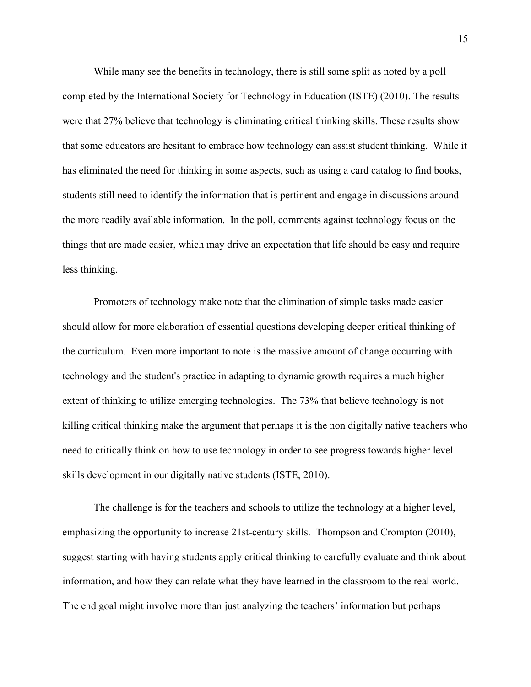While many see the benefits in technology, there is still some split as noted by a poll completed by the International Society for Technology in Education (ISTE) (2010). The results were that 27% believe that technology is eliminating critical thinking skills. These results show that some educators are hesitant to embrace how technology can assist student thinking. While it has eliminated the need for thinking in some aspects, such as using a card catalog to find books, students still need to identify the information that is pertinent and engage in discussions around the more readily available information. In the poll, comments against technology focus on the things that are made easier, which may drive an expectation that life should be easy and require less thinking.

Promoters of technology make note that the elimination of simple tasks made easier should allow for more elaboration of essential questions developing deeper critical thinking of the curriculum. Even more important to note is the massive amount of change occurring with technology and the student's practice in adapting to dynamic growth requires a much higher extent of thinking to utilize emerging technologies. The 73% that believe technology is not killing critical thinking make the argument that perhaps it is the non digitally native teachers who need to critically think on how to use technology in order to see progress towards higher level skills development in our digitally native students (ISTE, 2010).

The challenge is for the teachers and schools to utilize the technology at a higher level, emphasizing the opportunity to increase 21st-century skills. Thompson and Crompton (2010), suggest starting with having students apply critical thinking to carefully evaluate and think about information, and how they can relate what they have learned in the classroom to the real world. The end goal might involve more than just analyzing the teachers' information but perhaps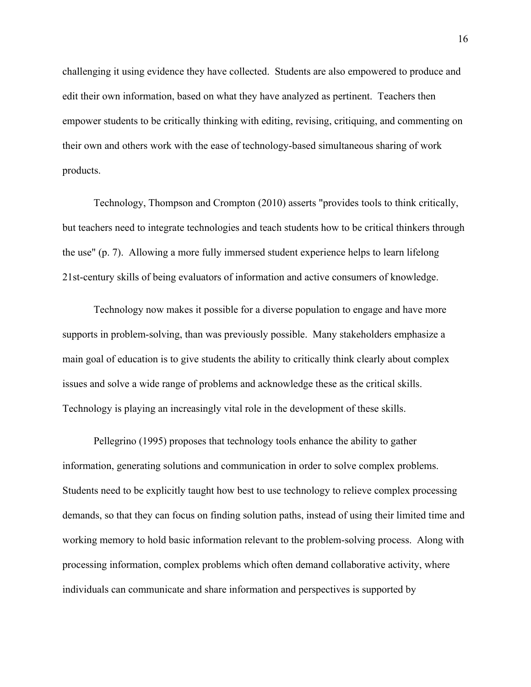challenging it using evidence they have collected. Students are also empowered to produce and edit their own information, based on what they have analyzed as pertinent. Teachers then empower students to be critically thinking with editing, revising, critiquing, and commenting on their own and others work with the ease of technology-based simultaneous sharing of work products.

Technology, Thompson and Crompton (2010) asserts "provides tools to think critically, but teachers need to integrate technologies and teach students how to be critical thinkers through the use" (p. 7). Allowing a more fully immersed student experience helps to learn lifelong 21st-century skills of being evaluators of information and active consumers of knowledge.

Technology now makes it possible for a diverse population to engage and have more supports in problem-solving, than was previously possible. Many stakeholders emphasize a main goal of education is to give students the ability to critically think clearly about complex issues and solve a wide range of problems and acknowledge these as the critical skills. Technology is playing an increasingly vital role in the development of these skills.

Pellegrino (1995) proposes that technology tools enhance the ability to gather information, generating solutions and communication in order to solve complex problems. Students need to be explicitly taught how best to use technology to relieve complex processing demands, so that they can focus on finding solution paths, instead of using their limited time and working memory to hold basic information relevant to the problem-solving process. Along with processing information, complex problems which often demand collaborative activity, where individuals can communicate and share information and perspectives is supported by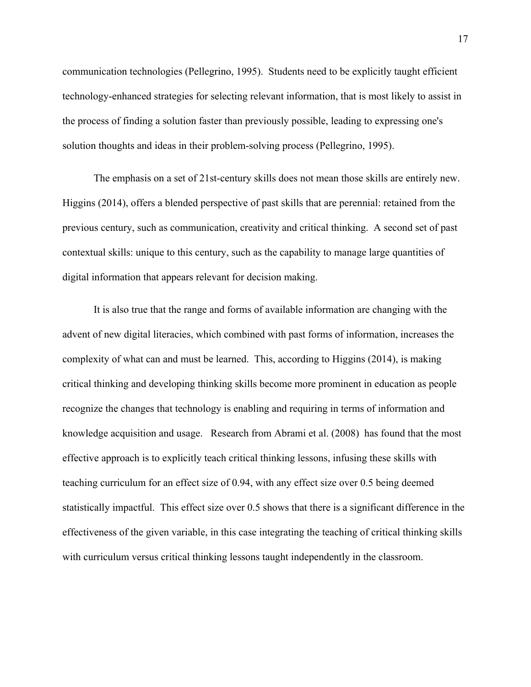communication technologies (Pellegrino, 1995). Students need to be explicitly taught efficient technology-enhanced strategies for selecting relevant information, that is most likely to assist in the process of finding a solution faster than previously possible, leading to expressing one's solution thoughts and ideas in their problem-solving process (Pellegrino, 1995).

The emphasis on a set of 21st-century skills does not mean those skills are entirely new. Higgins (2014), offers a blended perspective of past skills that are perennial: retained from the previous century, such as communication, creativity and critical thinking. A second set of past contextual skills: unique to this century, such as the capability to manage large quantities of digital information that appears relevant for decision making.

It is also true that the range and forms of available information are changing with the advent of new digital literacies, which combined with past forms of information, increases the complexity of what can and must be learned. This, according to Higgins (2014), is making critical thinking and developing thinking skills become more prominent in education as people recognize the changes that technology is enabling and requiring in terms of information and knowledge acquisition and usage. Research from Abrami et al. (2008) has found that the most effective approach is to explicitly teach critical thinking lessons, infusing these skills with teaching curriculum for an effect size of 0.94, with any effect size over 0.5 being deemed statistically impactful. This effect size over 0.5 shows that there is a significant difference in the effectiveness of the given variable, in this case integrating the teaching of critical thinking skills with curriculum versus critical thinking lessons taught independently in the classroom.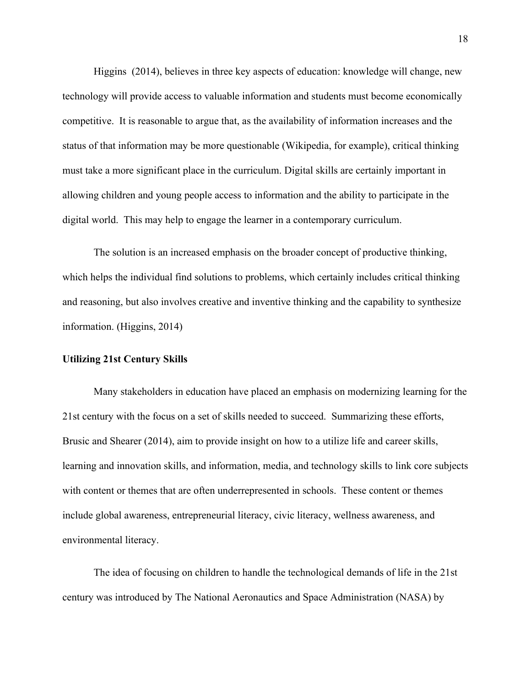Higgins (2014), believes in three key aspects of education: knowledge will change, new technology will provide access to valuable information and students must become economically competitive. It is reasonable to argue that, as the availability of information increases and the status of that information may be more questionable (Wikipedia, for example), critical thinking must take a more significant place in the curriculum. Digital skills are certainly important in allowing children and young people access to information and the ability to participate in the digital world. This may help to engage the learner in a contemporary curriculum.

The solution is an increased emphasis on the broader concept of productive thinking, which helps the individual find solutions to problems, which certainly includes critical thinking and reasoning, but also involves creative and inventive thinking and the capability to synthesize information. (Higgins, 2014)

### **Utilizing 21st Century Skills**

Many stakeholders in education have placed an emphasis on modernizing learning for the 21st century with the focus on a set of skills needed to succeed. Summarizing these efforts, Brusic and Shearer (2014), aim to provide insight on how to a utilize life and career skills, learning and innovation skills, and information, media, and technology skills to link core subjects with content or themes that are often underrepresented in schools. These content or themes include global awareness, entrepreneurial literacy, civic literacy, wellness awareness, and environmental literacy.

The idea of focusing on children to handle the technological demands of life in the 21st century was introduced by The National Aeronautics and Space Administration (NASA) by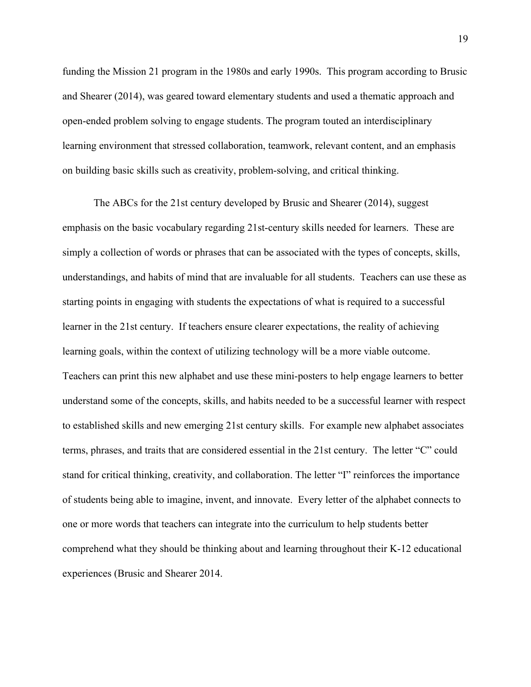funding the Mission 21 program in the 1980s and early 1990s. This program according to Brusic and Shearer (2014), was geared toward elementary students and used a thematic approach and open-ended problem solving to engage students. The program touted an interdisciplinary learning environment that stressed collaboration, teamwork, relevant content, and an emphasis on building basic skills such as creativity, problem-solving, and critical thinking.

The ABCs for the 21st century developed by Brusic and Shearer (2014), suggest emphasis on the basic vocabulary regarding 21st-century skills needed for learners. These are simply a collection of words or phrases that can be associated with the types of concepts, skills, understandings, and habits of mind that are invaluable for all students. Teachers can use these as starting points in engaging with students the expectations of what is required to a successful learner in the 21st century. If teachers ensure clearer expectations, the reality of achieving learning goals, within the context of utilizing technology will be a more viable outcome. Teachers can print this new alphabet and use these mini-posters to help engage learners to better understand some of the concepts, skills, and habits needed to be a successful learner with respect to established skills and new emerging 21st century skills. For example new alphabet associates terms, phrases, and traits that are considered essential in the 21st century. The letter "C" could stand for critical thinking, creativity, and collaboration. The letter "I" reinforces the importance of students being able to imagine, invent, and innovate. Every letter of the alphabet connects to one or more words that teachers can integrate into the curriculum to help students better comprehend what they should be thinking about and learning throughout their K-12 educational experiences (Brusic and Shearer 2014.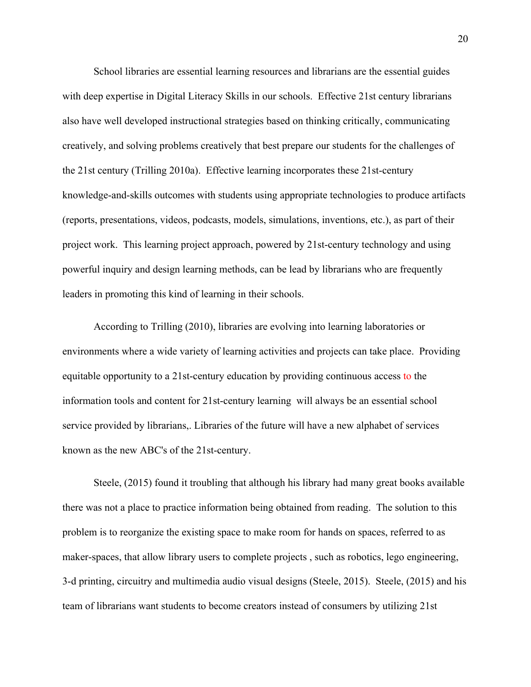School libraries are essential learning resources and librarians are the essential guides with deep expertise in Digital Literacy Skills in our schools. Effective 21st century librarians also have well developed instructional strategies based on thinking critically, communicating creatively, and solving problems creatively that best prepare our students for the challenges of the 21st century (Trilling 2010a). Effective learning incorporates these 21st-century knowledge-and-skills outcomes with students using appropriate technologies to produce artifacts (reports, presentations, videos, podcasts, models, simulations, inventions, etc.), as part of their project work. This learning project approach, powered by 21st-century technology and using powerful inquiry and design learning methods, can be lead by librarians who are frequently leaders in promoting this kind of learning in their schools.

According to Trilling (2010), libraries are evolving into learning laboratories or environments where a wide variety of learning activities and projects can take place. Providing equitable opportunity to a 21st-century education by providing continuous access to the information tools and content for 21st-century learning will always be an essential school service provided by librarians,. Libraries of the future will have a new alphabet of services known as the new ABC's of the 21st-century.

Steele, (2015) found it troubling that although his library had many great books available there was not a place to practice information being obtained from reading. The solution to this problem is to reorganize the existing space to make room for hands on spaces, referred to as maker-spaces, that allow library users to complete projects , such as robotics, lego engineering, 3-d printing, circuitry and multimedia audio visual designs (Steele, 2015). Steele, (2015) and his team of librarians want students to become creators instead of consumers by utilizing 21st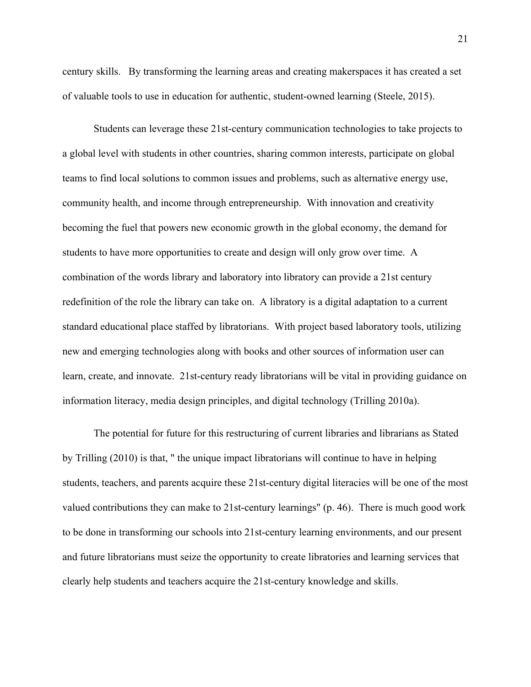century skills. By transforming the learning areas and creating makerspaces it has created a set of valuable tools to use in education for authentic, student-owned learning (Steele, 2015).

Students can leverage these 21st-century communication technologies to take projects to a global level with students in other countries, sharing common interests, participate on global teams to find local solutions to common issues and problems, such as alternative energy use, community health, and income through entrepreneurship. With innovation and creativity becoming the fuel that powers new economic growth in the global economy, the demand for students to have more opportunities to create and design will only grow over time. A combination of the words library and laboratory into libratory can provide a 21st century redefinition of the role the library can take on. A libratory is a digital adaptation to a current standard educational place staffed by libratorians. With project based laboratory tools, utilizing new and emerging technologies along with books and other sources of information user can learn, create, and innovate. 21st-century ready libratorians will be vital in providing guidance on information literacy, media design principles, and digital technology (Trilling 2010a).

The potential for future for this restructuring of current libraries and librarians as Stated by Trilling (2010) is that, " the unique impact libratorians will continue to have in helping students, teachers, and parents acquire these 21st-century digital literacies will be one of the most valued contributions they can make to 21st-century learnings" (p. 46). There is much good work to be done in transforming our schools into 21st-century learning environments, and our present and future libratorians must seize the opportunity to create libratories and learning services that clearly help students and teachers acquire the 21st-century knowledge and skills.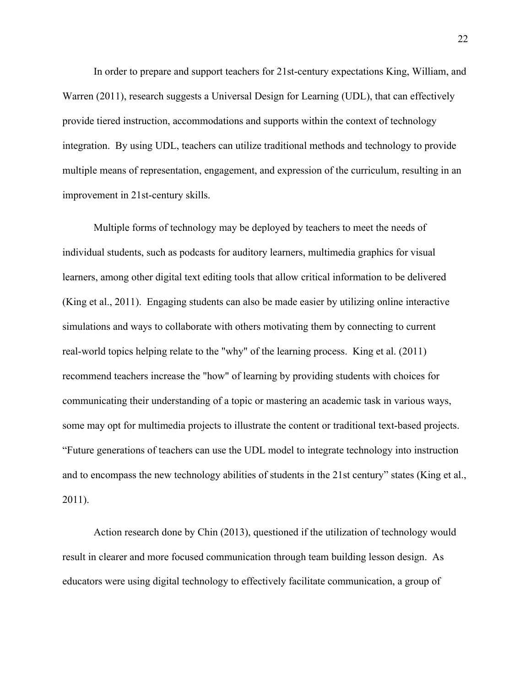In order to prepare and support teachers for 21st-century expectations King, William, and Warren (2011), research suggests a Universal Design for Learning (UDL), that can effectively provide tiered instruction, accommodations and supports within the context of technology integration. By using UDL, teachers can utilize traditional methods and technology to provide multiple means of representation, engagement, and expression of the curriculum, resulting in an improvement in 21st-century skills.

Multiple forms of technology may be deployed by teachers to meet the needs of individual students, such as podcasts for auditory learners, multimedia graphics for visual learners, among other digital text editing tools that allow critical information to be delivered (King et al., 2011). Engaging students can also be made easier by utilizing online interactive simulations and ways to collaborate with others motivating them by connecting to current real-world topics helping relate to the "why" of the learning process. King et al. (2011) recommend teachers increase the "how" of learning by providing students with choices for communicating their understanding of a topic or mastering an academic task in various ways, some may opt for multimedia projects to illustrate the content or traditional text-based projects. "Future generations of teachers can use the UDL model to integrate technology into instruction and to encompass the new technology abilities of students in the 21st century" states (King et al., 2011).

Action research done by Chin (2013), questioned if the utilization of technology would result in clearer and more focused communication through team building lesson design. As educators were using digital technology to effectively facilitate communication, a group of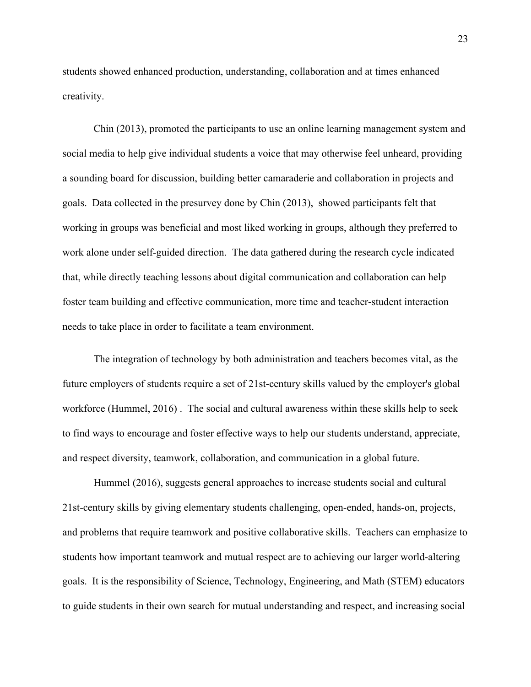students showed enhanced production, understanding, collaboration and at times enhanced creativity.

Chin (2013), promoted the participants to use an online learning management system and social media to help give individual students a voice that may otherwise feel unheard, providing a sounding board for discussion, building better camaraderie and collaboration in projects and goals. Data collected in the presurvey done by Chin (2013), showed participants felt that working in groups was beneficial and most liked working in groups, although they preferred to work alone under self-guided direction. The data gathered during the research cycle indicated that, while directly teaching lessons about digital communication and collaboration can help foster team building and effective communication, more time and teacher-student interaction needs to take place in order to facilitate a team environment.

The integration of technology by both administration and teachers becomes vital, as the future employers of students require a set of 21st-century skills valued by the employer's global workforce (Hummel, 2016) . The social and cultural awareness within these skills help to seek to find ways to encourage and foster effective ways to help our students understand, appreciate, and respect diversity, teamwork, collaboration, and communication in a global future.

Hummel (2016), suggests general approaches to increase students social and cultural 21st-century skills by giving elementary students challenging, open-ended, hands-on, projects, and problems that require teamwork and positive collaborative skills. Teachers can emphasize to students how important teamwork and mutual respect are to achieving our larger world-altering goals. It is the responsibility of Science, Technology, Engineering, and Math (STEM) educators to guide students in their own search for mutual understanding and respect, and increasing social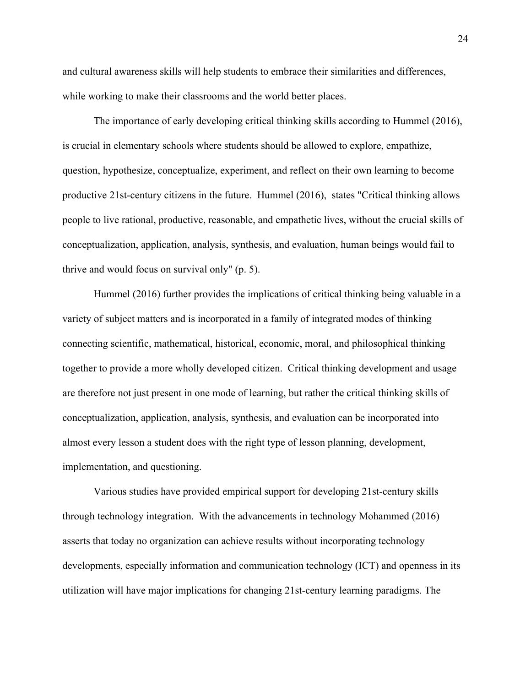and cultural awareness skills will help students to embrace their similarities and differences, while working to make their classrooms and the world better places.

The importance of early developing critical thinking skills according to Hummel (2016), is crucial in elementary schools where students should be allowed to explore, empathize, question, hypothesize, conceptualize, experiment, and reflect on their own learning to become productive 21st-century citizens in the future. Hummel (2016), states "Critical thinking allows people to live rational, productive, reasonable, and empathetic lives, without the crucial skills of conceptualization, application, analysis, synthesis, and evaluation, human beings would fail to thrive and would focus on survival only" (p. 5).

Hummel (2016) further provides the implications of critical thinking being valuable in a variety of subject matters and is incorporated in a family of integrated modes of thinking connecting scientific, mathematical, historical, economic, moral, and philosophical thinking together to provide a more wholly developed citizen. Critical thinking development and usage are therefore not just present in one mode of learning, but rather the critical thinking skills of conceptualization, application, analysis, synthesis, and evaluation can be incorporated into almost every lesson a student does with the right type of lesson planning, development, implementation, and questioning.

Various studies have provided empirical support for developing 21st-century skills through technology integration. With the advancements in technology Mohammed (2016) asserts that today no organization can achieve results without incorporating technology developments, especially information and communication technology (ICT) and openness in its utilization will have major implications for changing 21st-century learning paradigms. The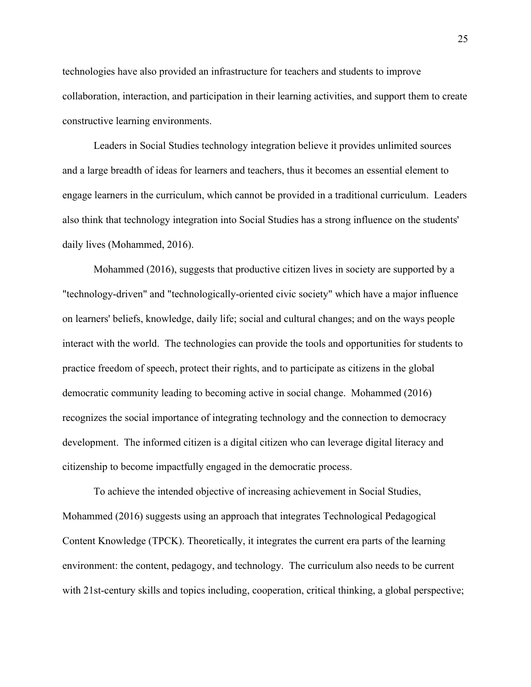technologies have also provided an infrastructure for teachers and students to improve collaboration, interaction, and participation in their learning activities, and support them to create constructive learning environments.

Leaders in Social Studies technology integration believe it provides unlimited sources and a large breadth of ideas for learners and teachers, thus it becomes an essential element to engage learners in the curriculum, which cannot be provided in a traditional curriculum. Leaders also think that technology integration into Social Studies has a strong influence on the students' daily lives (Mohammed, 2016).

Mohammed (2016), suggests that productive citizen lives in society are supported by a "technology-driven" and "technologically-oriented civic society" which have a major influence on learners' beliefs, knowledge, daily life; social and cultural changes; and on the ways people interact with the world. The technologies can provide the tools and opportunities for students to practice freedom of speech, protect their rights, and to participate as citizens in the global democratic community leading to becoming active in social change. Mohammed (2016) recognizes the social importance of integrating technology and the connection to democracy development. The informed citizen is a digital citizen who can leverage digital literacy and citizenship to become impactfully engaged in the democratic process.

To achieve the intended objective of increasing achievement in Social Studies, Mohammed (2016) suggests using an approach that integrates Technological Pedagogical Content Knowledge (TPCK). Theoretically, it integrates the current era parts of the learning environment: the content, pedagogy, and technology. The curriculum also needs to be current with 21st-century skills and topics including, cooperation, critical thinking, a global perspective;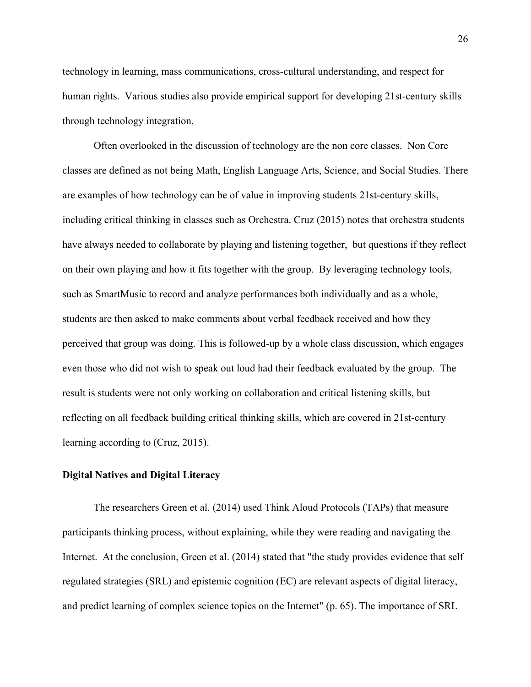technology in learning, mass communications, cross-cultural understanding, and respect for human rights. Various studies also provide empirical support for developing 21st-century skills through technology integration.

Often overlooked in the discussion of technology are the non core classes. Non Core classes are defined as not being Math, English Language Arts, Science, and Social Studies. There are examples of how technology can be of value in improving students 21st-century skills, including critical thinking in classes such as Orchestra. Cruz (2015) notes that orchestra students have always needed to collaborate by playing and listening together, but questions if they reflect on their own playing and how it fits together with the group. By leveraging technology tools, such as SmartMusic to record and analyze performances both individually and as a whole, students are then asked to make comments about verbal feedback received and how they perceived that group was doing. This is followed-up by a whole class discussion, which engages even those who did not wish to speak out loud had their feedback evaluated by the group. The result is students were not only working on collaboration and critical listening skills, but reflecting on all feedback building critical thinking skills, which are covered in 21st-century learning according to (Cruz, 2015).

#### **Digital Natives and Digital Literacy**

The researchers Green et al. (2014) used Think Aloud Protocols (TAPs) that measure participants thinking process, without explaining, while they were reading and navigating the Internet. At the conclusion, Green et al. (2014) stated that "the study provides evidence that self regulated strategies (SRL) and epistemic cognition (EC) are relevant aspects of digital literacy, and predict learning of complex science topics on the Internet" (p. 65). The importance of SRL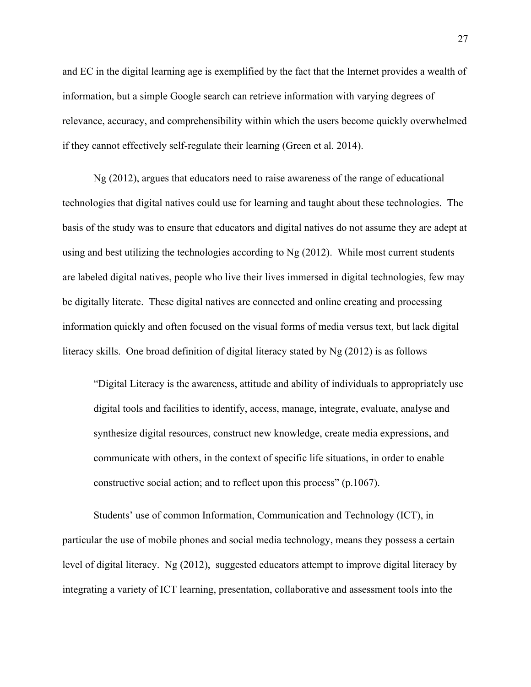and EC in the digital learning age is exemplified by the fact that the Internet provides a wealth of information, but a simple Google search can retrieve information with varying degrees of relevance, accuracy, and comprehensibility within which the users become quickly overwhelmed if they cannot effectively self-regulate their learning (Green et al. 2014).

Ng (2012), argues that educators need to raise awareness of the range of educational technologies that digital natives could use for learning and taught about these technologies. The basis of the study was to ensure that educators and digital natives do not assume they are adept at using and best utilizing the technologies according to Ng (2012). While most current students are labeled digital natives, people who live their lives immersed in digital technologies, few may be digitally literate. These digital natives are connected and online creating and processing information quickly and often focused on the visual forms of media versus text, but lack digital literacy skills. One broad definition of digital literacy stated by Ng (2012) is as follows

"Digital Literacy is the awareness, attitude and ability of individuals to appropriately use digital tools and facilities to identify, access, manage, integrate, evaluate, analyse and synthesize digital resources, construct new knowledge, create media expressions, and communicate with others, in the context of specific life situations, in order to enable constructive social action; and to reflect upon this process" (p.1067).

Students' use of common Information, Communication and Technology (ICT), in particular the use of mobile phones and social media technology, means they possess a certain level of digital literacy. Ng (2012), suggested educators attempt to improve digital literacy by integrating a variety of ICT learning, presentation, collaborative and assessment tools into the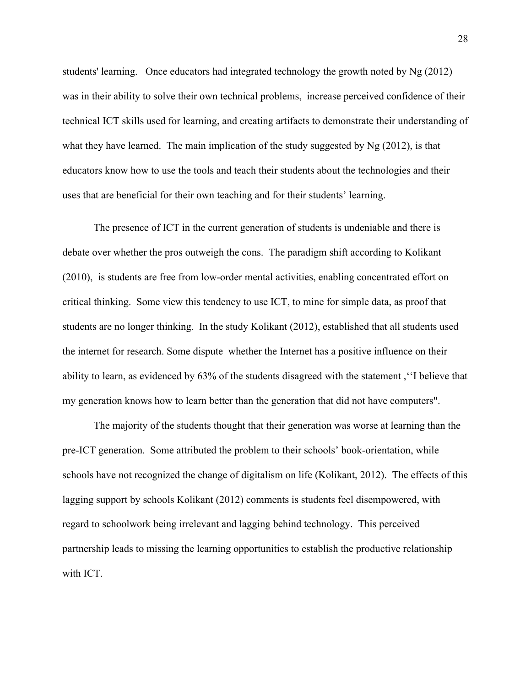students' learning. Once educators had integrated technology the growth noted by Ng (2012) was in their ability to solve their own technical problems, increase perceived confidence of their technical ICT skills used for learning, and creating artifacts to demonstrate their understanding of what they have learned. The main implication of the study suggested by Ng (2012), is that educators know how to use the tools and teach their students about the technologies and their uses that are beneficial for their own teaching and for their students' learning.

The presence of ICT in the current generation of students is undeniable and there is debate over whether the pros outweigh the cons. The paradigm shift according to Kolikant (2010), is students are free from low-order mental activities, enabling concentrated effort on critical thinking. Some view this tendency to use ICT, to mine for simple data, as proof that students are no longer thinking. In the study Kolikant (2012), established that all students used the internet for research. Some dispute whether the Internet has a positive influence on their ability to learn, as evidenced by 63% of the students disagreed with the statement ,''I believe that my generation knows how to learn better than the generation that did not have computers".

The majority of the students thought that their generation was worse at learning than the pre-ICT generation. Some attributed the problem to their schools' book-orientation, while schools have not recognized the change of digitalism on life (Kolikant, 2012). The effects of this lagging support by schools Kolikant (2012) comments is students feel disempowered, with regard to schoolwork being irrelevant and lagging behind technology. This perceived partnership leads to missing the learning opportunities to establish the productive relationship with ICT.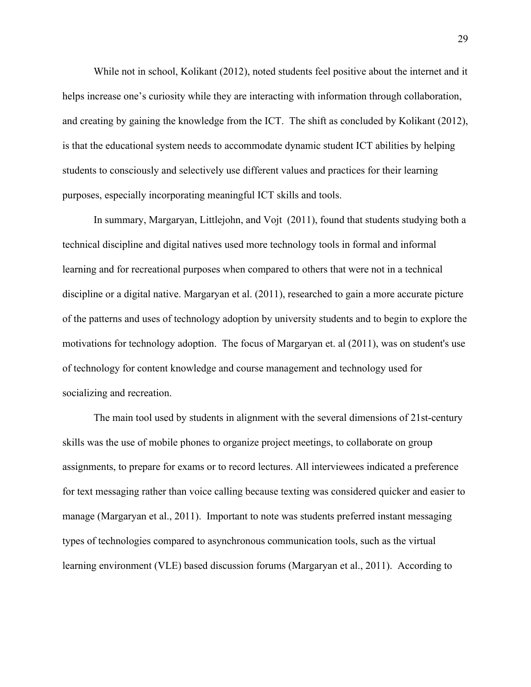While not in school, Kolikant (2012), noted students feel positive about the internet and it helps increase one's curiosity while they are interacting with information through collaboration, and creating by gaining the knowledge from the ICT. The shift as concluded by Kolikant (2012), is that the educational system needs to accommodate dynamic student ICT abilities by helping students to consciously and selectively use different values and practices for their learning purposes, especially incorporating meaningful ICT skills and tools.

In summary, Margaryan, Littlejohn, and Vojt (2011), found that students studying both a technical discipline and digital natives used more technology tools in formal and informal learning and for recreational purposes when compared to others that were not in a technical discipline or a digital native. Margaryan et al. (2011), researched to gain a more accurate picture of the patterns and uses of technology adoption by university students and to begin to explore the motivations for technology adoption. The focus of Margaryan et. al (2011), was on student's use of technology for content knowledge and course management and technology used for socializing and recreation.

The main tool used by students in alignment with the several dimensions of 21st-century skills was the use of mobile phones to organize project meetings, to collaborate on group assignments, to prepare for exams or to record lectures. All interviewees indicated a preference for text messaging rather than voice calling because texting was considered quicker and easier to manage (Margaryan et al., 2011). Important to note was students preferred instant messaging types of technologies compared to asynchronous communication tools, such as the virtual learning environment (VLE) based discussion forums (Margaryan et al., 2011). According to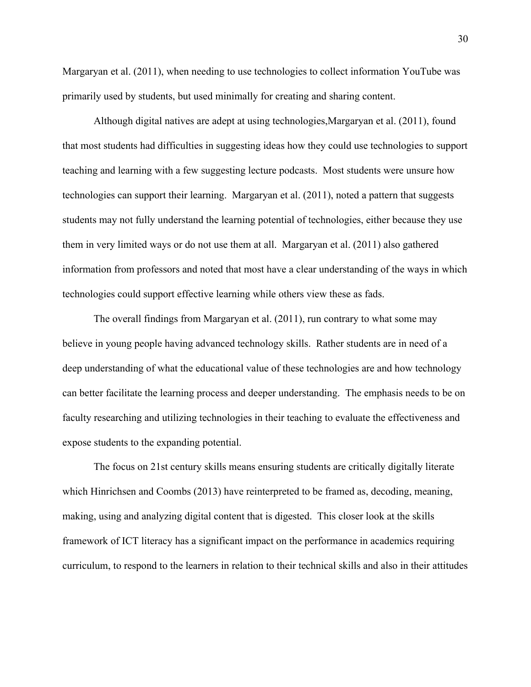Margaryan et al. (2011), when needing to use technologies to collect information YouTube was primarily used by students, but used minimally for creating and sharing content.

Although digital natives are adept at using technologies,Margaryan et al. (2011), found that most students had difficulties in suggesting ideas how they could use technologies to support teaching and learning with a few suggesting lecture podcasts. Most students were unsure how technologies can support their learning. Margaryan et al. (2011), noted a pattern that suggests students may not fully understand the learning potential of technologies, either because they use them in very limited ways or do not use them at all. Margaryan et al. (2011) also gathered information from professors and noted that most have a clear understanding of the ways in which technologies could support effective learning while others view these as fads.

The overall findings from Margaryan et al. (2011), run contrary to what some may believe in young people having advanced technology skills. Rather students are in need of a deep understanding of what the educational value of these technologies are and how technology can better facilitate the learning process and deeper understanding. The emphasis needs to be on faculty researching and utilizing technologies in their teaching to evaluate the effectiveness and expose students to the expanding potential.

The focus on 21st century skills means ensuring students are critically digitally literate which Hinrichsen and Coombs (2013) have reinterpreted to be framed as, decoding, meaning, making, using and analyzing digital content that is digested. This closer look at the skills framework of ICT literacy has a significant impact on the performance in academics requiring curriculum, to respond to the learners in relation to their technical skills and also in their attitudes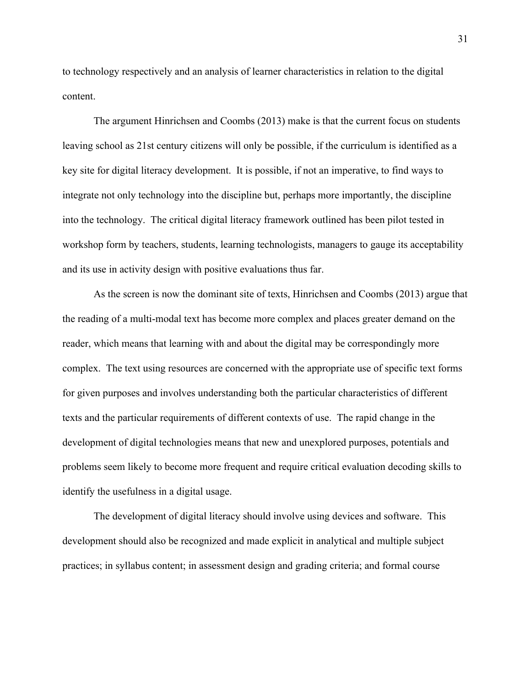to technology respectively and an analysis of learner characteristics in relation to the digital content.

The argument Hinrichsen and Coombs (2013) make is that the current focus on students leaving school as 21st century citizens will only be possible, if the curriculum is identified as a key site for digital literacy development. It is possible, if not an imperative, to find ways to integrate not only technology into the discipline but, perhaps more importantly, the discipline into the technology. The critical digital literacy framework outlined has been pilot tested in workshop form by teachers, students, learning technologists, managers to gauge its acceptability and its use in activity design with positive evaluations thus far.

As the screen is now the dominant site of texts, Hinrichsen and Coombs (2013) argue that the reading of a multi-modal text has become more complex and places greater demand on the reader, which means that learning with and about the digital may be correspondingly more complex. The text using resources are concerned with the appropriate use of specific text forms for given purposes and involves understanding both the particular characteristics of different texts and the particular requirements of different contexts of use. The rapid change in the development of digital technologies means that new and unexplored purposes, potentials and problems seem likely to become more frequent and require critical evaluation decoding skills to identify the usefulness in a digital usage.

The development of digital literacy should involve using devices and software. This development should also be recognized and made explicit in analytical and multiple subject practices; in syllabus content; in assessment design and grading criteria; and formal course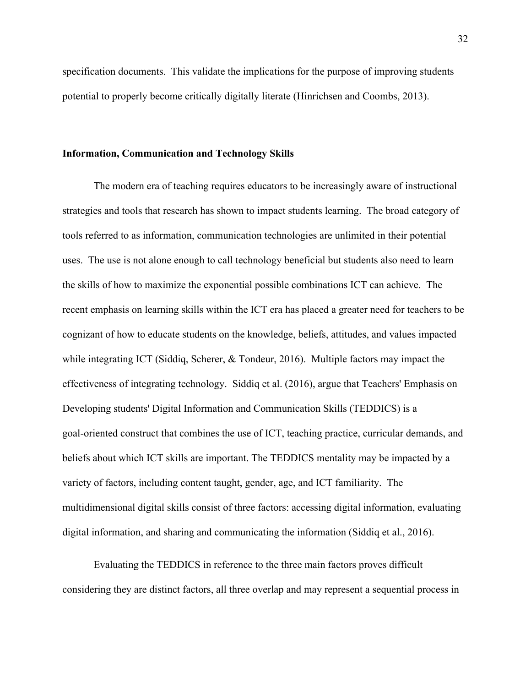specification documents. This validate the implications for the purpose of improving students potential to properly become critically digitally literate (Hinrichsen and Coombs, 2013).

#### **Information, Communication and Technology Skills**

The modern era of teaching requires educators to be increasingly aware of instructional strategies and tools that research has shown to impact students learning. The broad category of tools referred to as information, communication technologies are unlimited in their potential uses. The use is not alone enough to call technology beneficial but students also need to learn the skills of how to maximize the exponential possible combinations ICT can achieve. The recent emphasis on learning skills within the ICT era has placed a greater need for teachers to be cognizant of how to educate students on the knowledge, beliefs, attitudes, and values impacted while integrating ICT (Siddiq, Scherer, & Tondeur, 2016). Multiple factors may impact the effectiveness of integrating technology. Siddiq et al. (2016), argue that Teachers' Emphasis on Developing students' Digital Information and Communication Skills (TEDDICS) is a goal-oriented construct that combines the use of ICT, teaching practice, curricular demands, and beliefs about which ICT skills are important. The TEDDICS mentality may be impacted by a variety of factors, including content taught, gender, age, and ICT familiarity. The multidimensional digital skills consist of three factors: accessing digital information, evaluating digital information, and sharing and communicating the information (Siddiq et al., 2016).

Evaluating the TEDDICS in reference to the three main factors proves difficult considering they are distinct factors, all three overlap and may represent a sequential process in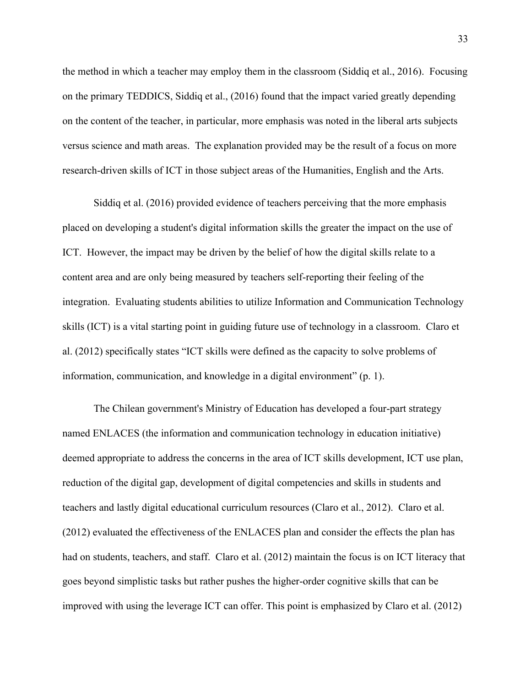the method in which a teacher may employ them in the classroom (Siddiq et al., 2016). Focusing on the primary TEDDICS, Siddiq et al., (2016) found that the impact varied greatly depending on the content of the teacher, in particular, more emphasis was noted in the liberal arts subjects versus science and math areas. The explanation provided may be the result of a focus on more research-driven skills of ICT in those subject areas of the Humanities, English and the Arts.

Siddiq et al. (2016) provided evidence of teachers perceiving that the more emphasis placed on developing a student's digital information skills the greater the impact on the use of ICT. However, the impact may be driven by the belief of how the digital skills relate to a content area and are only being measured by teachers self-reporting their feeling of the integration. Evaluating students abilities to utilize Information and Communication Technology skills (ICT) is a vital starting point in guiding future use of technology in a classroom. Claro et al. (2012) specifically states "ICT skills were defined as the capacity to solve problems of information, communication, and knowledge in a digital environment" (p. 1).

The Chilean government's Ministry of Education has developed a four-part strategy named ENLACES (the information and communication technology in education initiative) deemed appropriate to address the concerns in the area of ICT skills development, ICT use plan, reduction of the digital gap, development of digital competencies and skills in students and teachers and lastly digital educational curriculum resources (Claro et al., 2012). Claro et al. (2012) evaluated the effectiveness of the ENLACES plan and consider the effects the plan has had on students, teachers, and staff. Claro et al. (2012) maintain the focus is on ICT literacy that goes beyond simplistic tasks but rather pushes the higher-order cognitive skills that can be improved with using the leverage ICT can offer. This point is emphasized by Claro et al. (2012)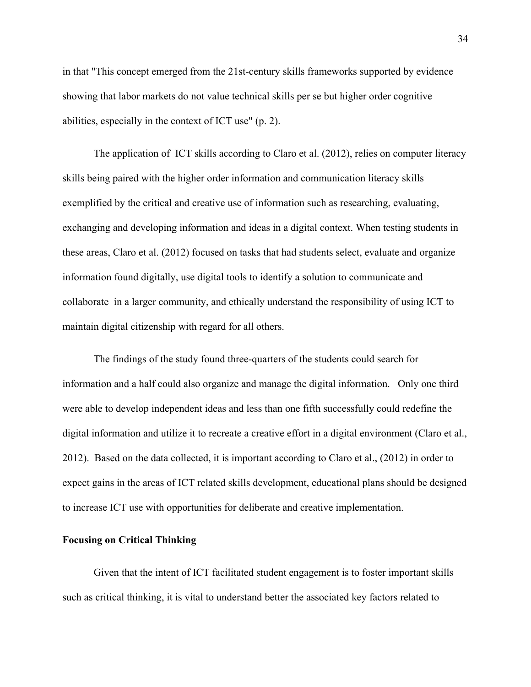in that "This concept emerged from the 21st-century skills frameworks supported by evidence showing that labor markets do not value technical skills per se but higher order cognitive abilities, especially in the context of ICT use" (p. 2).

The application of ICT skills according to Claro et al. (2012), relies on computer literacy skills being paired with the higher order information and communication literacy skills exemplified by the critical and creative use of information such as researching, evaluating, exchanging and developing information and ideas in a digital context. When testing students in these areas, Claro et al. (2012) focused on tasks that had students select, evaluate and organize information found digitally, use digital tools to identify a solution to communicate and collaborate in a larger community, and ethically understand the responsibility of using ICT to maintain digital citizenship with regard for all others.

The findings of the study found three-quarters of the students could search for information and a half could also organize and manage the digital information. Only one third were able to develop independent ideas and less than one fifth successfully could redefine the digital information and utilize it to recreate a creative effort in a digital environment (Claro et al., 2012). Based on the data collected, it is important according to Claro et al., (2012) in order to expect gains in the areas of ICT related skills development, educational plans should be designed to increase ICT use with opportunities for deliberate and creative implementation.

#### **Focusing on Critical Thinking**

Given that the intent of ICT facilitated student engagement is to foster important skills such as critical thinking, it is vital to understand better the associated key factors related to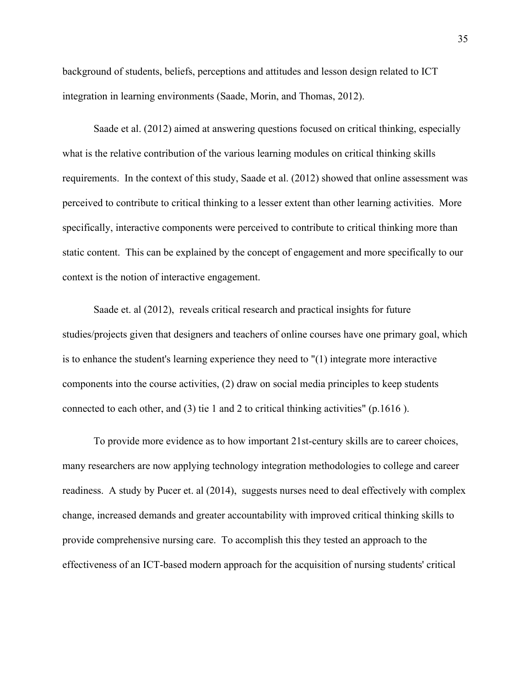background of students, beliefs, perceptions and attitudes and lesson design related to ICT integration in learning environments (Saade, Morin, and Thomas, 2012).

Saade et al. (2012) aimed at answering questions focused on critical thinking, especially what is the relative contribution of the various learning modules on critical thinking skills requirements. In the context of this study, Saade et al. (2012) showed that online assessment was perceived to contribute to critical thinking to a lesser extent than other learning activities. More specifically, interactive components were perceived to contribute to critical thinking more than static content. This can be explained by the concept of engagement and more specifically to our context is the notion of interactive engagement.

Saade et. al (2012), reveals critical research and practical insights for future studies/projects given that designers and teachers of online courses have one primary goal, which is to enhance the student's learning experience they need to "(1) integrate more interactive components into the course activities, (2) draw on social media principles to keep students connected to each other, and (3) tie 1 and 2 to critical thinking activities" (p.1616 ).

To provide more evidence as to how important 21st-century skills are to career choices, many researchers are now applying technology integration methodologies to college and career readiness. A study by Pucer et. al (2014), suggests nurses need to deal effectively with complex change, increased demands and greater accountability with improved critical thinking skills to provide comprehensive nursing care. To accomplish this they tested an approach to the effectiveness of an ICT-based modern approach for the acquisition of nursing students' critical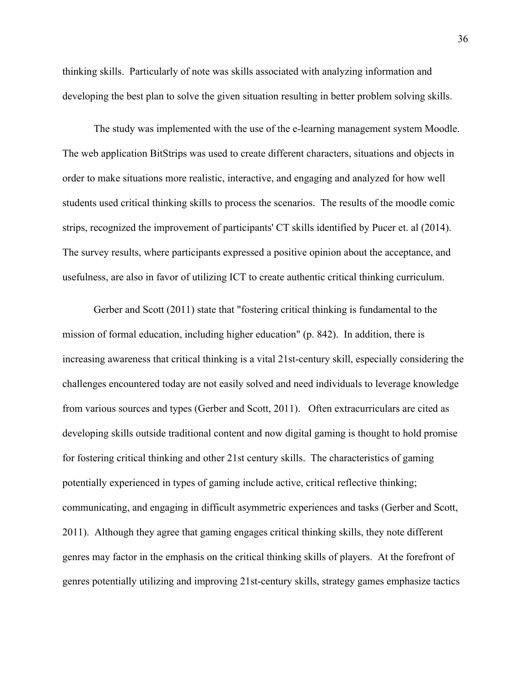thinking skills. Particularly of note was skills associated with analyzing information and developing the best plan to solve the given situation resulting in better problem solving skills.

The study was implemented with the use of the e-learning management system Moodle. The web application BitStrips was used to create different characters, situations and objects in order to make situations more realistic, interactive, and engaging and analyzed for how well students used critical thinking skills to process the scenarios. The results of the moodle comic strips, recognized the improvement of participants' CT skills identified by Pucer et. al (2014). The survey results, where participants expressed a positive opinion about the acceptance, and usefulness, are also in favor of utilizing ICT to create authentic critical thinking curriculum.

Gerber and Scott (2011) state that "fostering critical thinking is fundamental to the mission of formal education, including higher education" (p. 842). In addition, there is increasing awareness that critical thinking is a vital 21st-century skill, especially considering the challenges encountered today are not easily solved and need individuals to leverage knowledge from various sources and types (Gerber and Scott, 2011). Often extracurriculars are cited as developing skills outside traditional content and now digital gaming is thought to hold promise for fostering critical thinking and other 21st century skills. The characteristics of gaming potentially experienced in types of gaming include active, critical reflective thinking; communicating, and engaging in difficult asymmetric experiences and tasks (Gerber and Scott, 2011). Although they agree that gaming engages critical thinking skills, they note different genres may factor in the emphasis on the critical thinking skills of players. At the forefront of genres potentially utilizing and improving 21st-century skills, strategy games emphasize tactics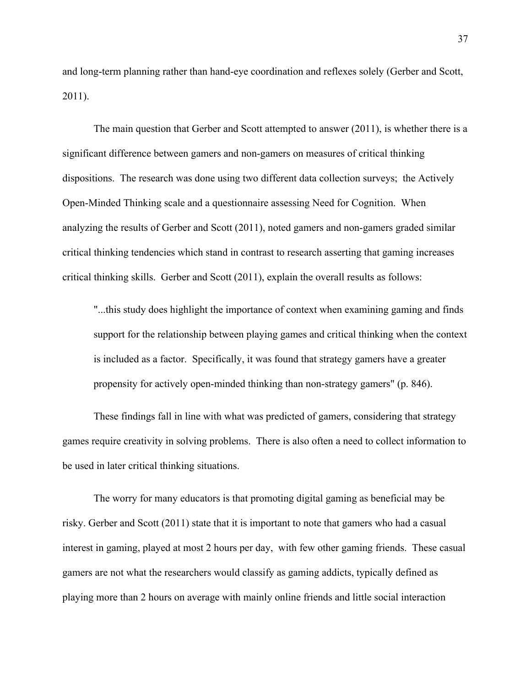and long-term planning rather than hand-eye coordination and reflexes solely (Gerber and Scott, 2011).

The main question that Gerber and Scott attempted to answer (2011), is whether there is a significant difference between gamers and non-gamers on measures of critical thinking dispositions. The research was done using two different data collection surveys; the Actively Open-Minded Thinking scale and a questionnaire assessing Need for Cognition. When analyzing the results of Gerber and Scott (2011), noted gamers and non-gamers graded similar critical thinking tendencies which stand in contrast to research asserting that gaming increases critical thinking skills. Gerber and Scott (2011), explain the overall results as follows:

"...this study does highlight the importance of context when examining gaming and finds support for the relationship between playing games and critical thinking when the context is included as a factor. Specifically, it was found that strategy gamers have a greater propensity for actively open-minded thinking than non-strategy gamers" (p. 846).

These findings fall in line with what was predicted of gamers, considering that strategy games require creativity in solving problems. There is also often a need to collect information to be used in later critical thinking situations.

The worry for many educators is that promoting digital gaming as beneficial may be risky. Gerber and Scott (2011) state that it is important to note that gamers who had a casual interest in gaming, played at most 2 hours per day, with few other gaming friends. These casual gamers are not what the researchers would classify as gaming addicts, typically defined as playing more than 2 hours on average with mainly online friends and little social interaction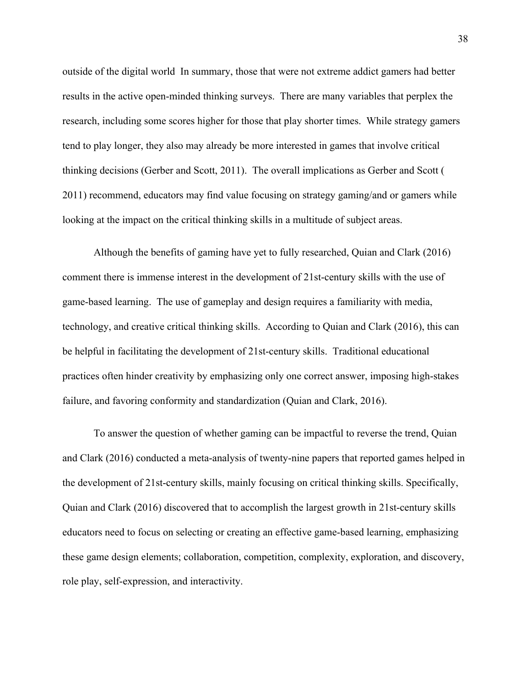outside of the digital world In summary, those that were not extreme addict gamers had better results in the active open-minded thinking surveys. There are many variables that perplex the research, including some scores higher for those that play shorter times. While strategy gamers tend to play longer, they also may already be more interested in games that involve critical thinking decisions (Gerber and Scott, 2011). The overall implications as Gerber and Scott ( 2011) recommend, educators may find value focusing on strategy gaming/and or gamers while looking at the impact on the critical thinking skills in a multitude of subject areas.

Although the benefits of gaming have yet to fully researched, Quian and Clark (2016) comment there is immense interest in the development of 21st-century skills with the use of game-based learning. The use of gameplay and design requires a familiarity with media, technology, and creative critical thinking skills. According to Quian and Clark (2016), this can be helpful in facilitating the development of 21st-century skills. Traditional educational practices often hinder creativity by emphasizing only one correct answer, imposing high-stakes failure, and favoring conformity and standardization (Quian and Clark, 2016).

To answer the question of whether gaming can be impactful to reverse the trend, Quian and Clark (2016) conducted a meta-analysis of twenty-nine papers that reported games helped in the development of 21st-century skills, mainly focusing on critical thinking skills. Specifically, Quian and Clark (2016) discovered that to accomplish the largest growth in 21st-century skills educators need to focus on selecting or creating an effective game-based learning, emphasizing these game design elements; collaboration, competition, complexity, exploration, and discovery, role play, self-expression, and interactivity.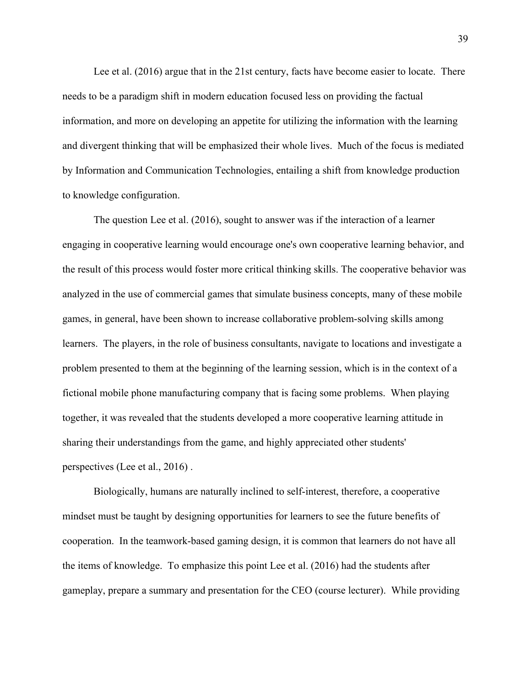Lee et al. (2016) argue that in the 21st century, facts have become easier to locate. There needs to be a paradigm shift in modern education focused less on providing the factual information, and more on developing an appetite for utilizing the information with the learning and divergent thinking that will be emphasized their whole lives. Much of the focus is mediated by Information and Communication Technologies, entailing a shift from knowledge production to knowledge configuration.

The question Lee et al. (2016), sought to answer was if the interaction of a learner engaging in cooperative learning would encourage one's own cooperative learning behavior, and the result of this process would foster more critical thinking skills. The cooperative behavior was analyzed in the use of commercial games that simulate business concepts, many of these mobile games, in general, have been shown to increase collaborative problem-solving skills among learners. The players, in the role of business consultants, navigate to locations and investigate a problem presented to them at the beginning of the learning session, which is in the context of a fictional mobile phone manufacturing company that is facing some problems. When playing together, it was revealed that the students developed a more cooperative learning attitude in sharing their understandings from the game, and highly appreciated other students' perspectives (Lee et al., 2016) .

Biologically, humans are naturally inclined to self-interest, therefore, a cooperative mindset must be taught by designing opportunities for learners to see the future benefits of cooperation. In the teamwork-based gaming design, it is common that learners do not have all the items of knowledge. To emphasize this point Lee et al. (2016) had the students after gameplay, prepare a summary and presentation for the CEO (course lecturer). While providing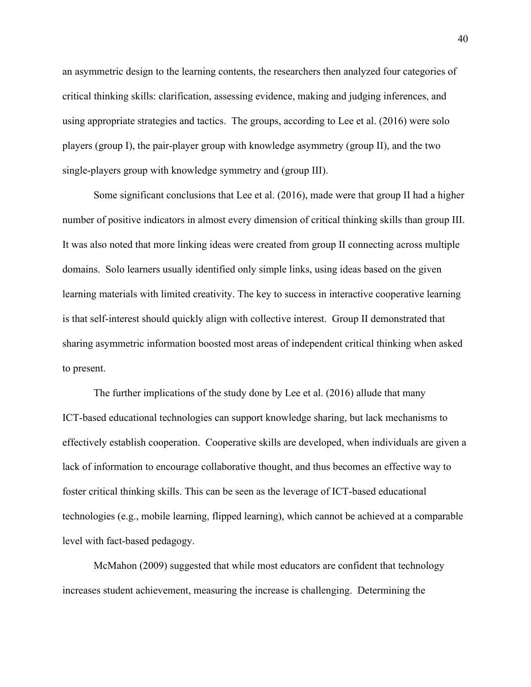an asymmetric design to the learning contents, the researchers then analyzed four categories of critical thinking skills: clarification, assessing evidence, making and judging inferences, and using appropriate strategies and tactics. The groups, according to Lee et al. (2016) were solo players (group I), the pair-player group with knowledge asymmetry (group II), and the two single-players group with knowledge symmetry and (group III).

Some significant conclusions that Lee et al. (2016), made were that group II had a higher number of positive indicators in almost every dimension of critical thinking skills than group III. It was also noted that more linking ideas were created from group II connecting across multiple domains. Solo learners usually identified only simple links, using ideas based on the given learning materials with limited creativity. The key to success in interactive cooperative learning is that self-interest should quickly align with collective interest. Group II demonstrated that sharing asymmetric information boosted most areas of independent critical thinking when asked to present.

The further implications of the study done by Lee et al. (2016) allude that many ICT-based educational technologies can support knowledge sharing, but lack mechanisms to effectively establish cooperation. Cooperative skills are developed, when individuals are given a lack of information to encourage collaborative thought, and thus becomes an effective way to foster critical thinking skills. This can be seen as the leverage of ICT-based educational technologies (e.g., mobile learning, flipped learning), which cannot be achieved at a comparable level with fact-based pedagogy.

McMahon (2009) suggested that while most educators are confident that technology increases student achievement, measuring the increase is challenging. Determining the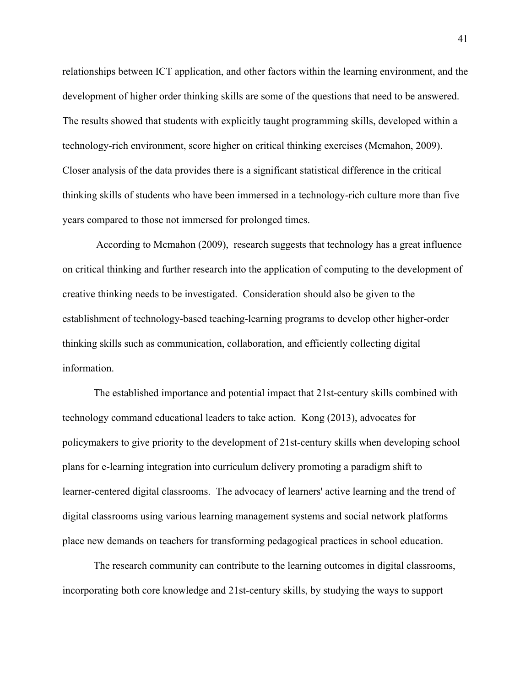relationships between ICT application, and other factors within the learning environment, and the development of higher order thinking skills are some of the questions that need to be answered. The results showed that students with explicitly taught programming skills, developed within a technology-rich environment, score higher on critical thinking exercises (Mcmahon, 2009). Closer analysis of the data provides there is a significant statistical difference in the critical thinking skills of students who have been immersed in a technology-rich culture more than five years compared to those not immersed for prolonged times.

 According to Mcmahon (2009), research suggests that technology has a great influence on critical thinking and further research into the application of computing to the development of creative thinking needs to be investigated. Consideration should also be given to the establishment of technology-based teaching-learning programs to develop other higher-order thinking skills such as communication, collaboration, and efficiently collecting digital information.

The established importance and potential impact that 21st-century skills combined with technology command educational leaders to take action. Kong (2013), advocates for policymakers to give priority to the development of 21st-century skills when developing school plans for e-learning integration into curriculum delivery promoting a paradigm shift to learner-centered digital classrooms. The advocacy of learners' active learning and the trend of digital classrooms using various learning management systems and social network platforms place new demands on teachers for transforming pedagogical practices in school education.

The research community can contribute to the learning outcomes in digital classrooms, incorporating both core knowledge and 21st-century skills, by studying the ways to support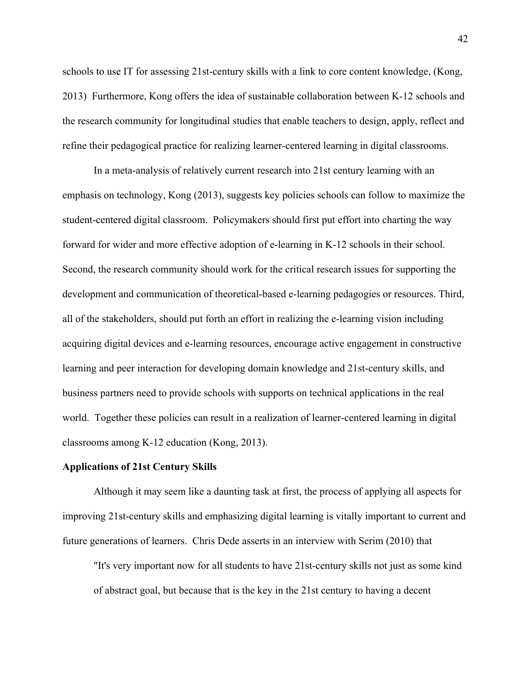schools to use IT for assessing 21st-century skills with a link to core content knowledge, (Kong, 2013) Furthermore, Kong offers the idea of sustainable collaboration between K-12 schools and the research community for longitudinal studies that enable teachers to design, apply, reflect and refine their pedagogical practice for realizing learner-centered learning in digital classrooms.

In a meta-analysis of relatively current research into 21st century learning with an emphasis on technology, Kong (2013), suggests key policies schools can follow to maximize the student-centered digital classroom. Policymakers should first put effort into charting the way forward for wider and more effective adoption of e-learning in K-12 schools in their school. Second, the research community should work for the critical research issues for supporting the development and communication of theoretical-based e-learning pedagogies or resources. Third, all of the stakeholders, should put forth an effort in realizing the e-learning vision including acquiring digital devices and e-learning resources, encourage active engagement in constructive learning and peer interaction for developing domain knowledge and 21st-century skills, and business partners need to provide schools with supports on technical applications in the real world. Together these policies can result in a realization of learner-centered learning in digital classrooms among K-12 education (Kong, 2013).

#### **Applications of 21st Century Skills**

Although it may seem like a daunting task at first, the process of applying all aspects for improving 21st-century skills and emphasizing digital learning is vitally important to current and future generations of learners. Chris Dede asserts in an interview with Serim (2010) that

"It's very important now for all students to have 21st-century skills not just as some kind of abstract goal, but because that is the key in the 21st century to having a decent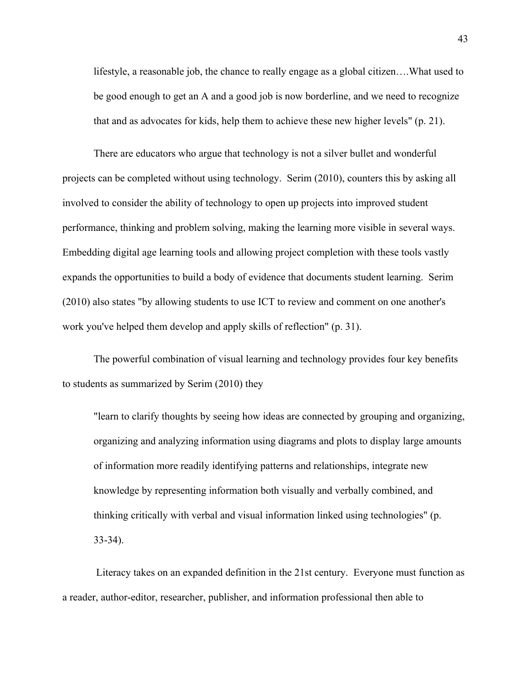lifestyle, a reasonable job, the chance to really engage as a global citizen….What used to be good enough to get an A and a good job is now borderline, and we need to recognize that and as advocates for kids, help them to achieve these new higher levels" (p. 21).

There are educators who argue that technology is not a silver bullet and wonderful projects can be completed without using technology. Serim (2010), counters this by asking all involved to consider the ability of technology to open up projects into improved student performance, thinking and problem solving, making the learning more visible in several ways. Embedding digital age learning tools and allowing project completion with these tools vastly expands the opportunities to build a body of evidence that documents student learning. Serim (2010) also states "by allowing students to use ICT to review and comment on one another's work you've helped them develop and apply skills of reflection" (p. 31).

The powerful combination of visual learning and technology provides four key benefits to students as summarized by Serim (2010) they

"learn to clarify thoughts by seeing how ideas are connected by grouping and organizing, organizing and analyzing information using diagrams and plots to display large amounts of information more readily identifying patterns and relationships, integrate new knowledge by representing information both visually and verbally combined, and thinking critically with verbal and visual information linked using technologies" (p. 33-34).

 Literacy takes on an expanded definition in the 21st century. Everyone must function as a reader, author-editor, researcher, publisher, and information professional then able to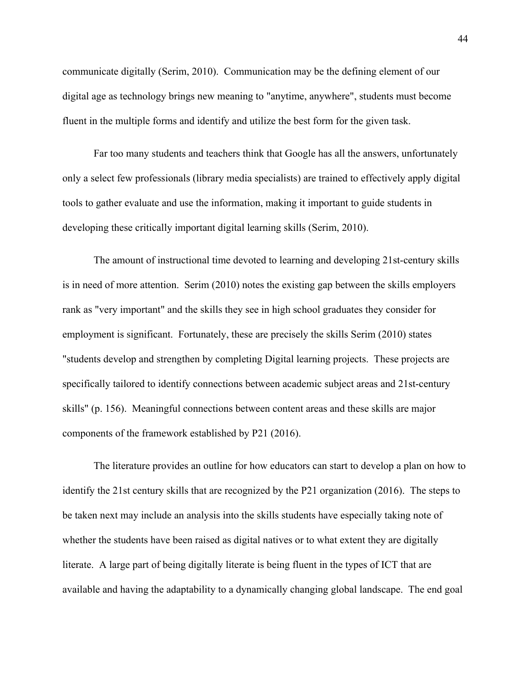communicate digitally (Serim, 2010). Communication may be the defining element of our digital age as technology brings new meaning to "anytime, anywhere", students must become fluent in the multiple forms and identify and utilize the best form for the given task.

Far too many students and teachers think that Google has all the answers, unfortunately only a select few professionals (library media specialists) are trained to effectively apply digital tools to gather evaluate and use the information, making it important to guide students in developing these critically important digital learning skills (Serim, 2010).

The amount of instructional time devoted to learning and developing 21st-century skills is in need of more attention. Serim (2010) notes the existing gap between the skills employers rank as "very important" and the skills they see in high school graduates they consider for employment is significant. Fortunately, these are precisely the skills Serim (2010) states "students develop and strengthen by completing Digital learning projects. These projects are specifically tailored to identify connections between academic subject areas and 21st-century skills" (p. 156). Meaningful connections between content areas and these skills are major components of the framework established by P21 (2016).

The literature provides an outline for how educators can start to develop a plan on how to identify the 21st century skills that are recognized by the P21 organization (2016). The steps to be taken next may include an analysis into the skills students have especially taking note of whether the students have been raised as digital natives or to what extent they are digitally literate. A large part of being digitally literate is being fluent in the types of ICT that are available and having the adaptability to a dynamically changing global landscape. The end goal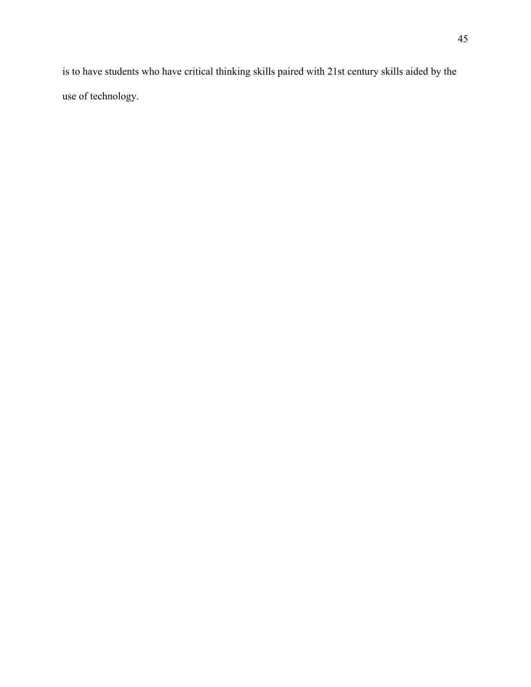is to have students who have critical thinking skills paired with 21st century skills aided by the use of technology.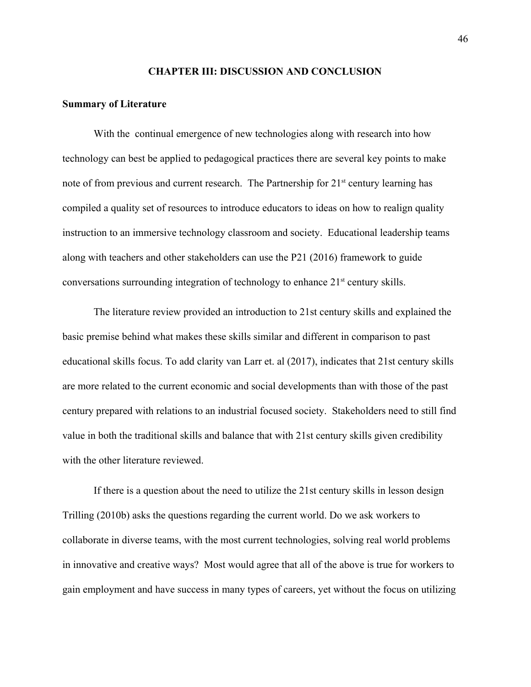#### **CHAPTER III: DISCUSSION AND CONCLUSION**

#### **Summary of Literature**

With the continual emergence of new technologies along with research into how technology can best be applied to pedagogical practices there are several key points to make note of from previous and current research. The Partnership for  $21<sup>st</sup>$  century learning has compiled a quality set of resources to introduce educators to ideas on how to realign quality instruction to an immersive technology classroom and society. Educational leadership teams along with teachers and other stakeholders can use the P21 (2016) framework to guide conversations surrounding integration of technology to enhance 21<sup>st</sup> century skills.

The literature review provided an introduction to 21st century skills and explained the basic premise behind what makes these skills similar and different in comparison to past educational skills focus. To add clarity van Larr et. al (2017), indicates that 21st century skills are more related to the current economic and social developments than with those of the past century prepared with relations to an industrial focused society. Stakeholders need to still find value in both the traditional skills and balance that with 21st century skills given credibility with the other literature reviewed.

If there is a question about the need to utilize the 21st century skills in lesson design Trilling (2010b) asks the questions regarding the current world. Do we ask workers to collaborate in diverse teams, with the most current technologies, solving real world problems in innovative and creative ways? Most would agree that all of the above is true for workers to gain employment and have success in many types of careers, yet without the focus on utilizing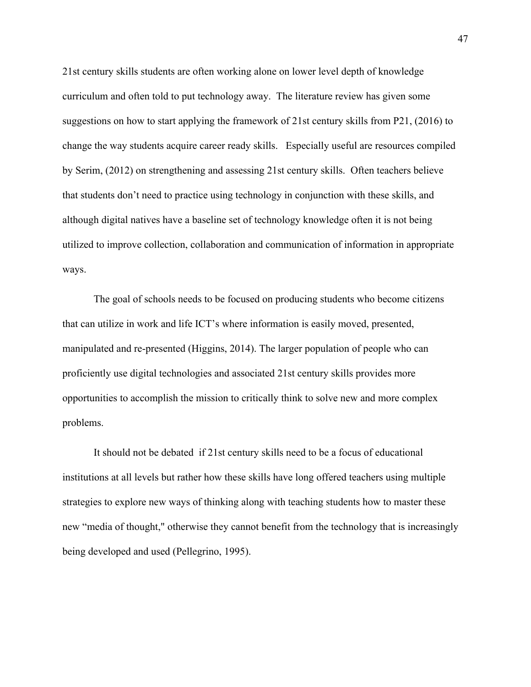21st century skills students are often working alone on lower level depth of knowledge curriculum and often told to put technology away. The literature review has given some suggestions on how to start applying the framework of 21st century skills from P21, (2016) to change the way students acquire career ready skills. Especially useful are resources compiled by Serim, (2012) on strengthening and assessing 21st century skills. Often teachers believe that students don't need to practice using technology in conjunction with these skills, and although digital natives have a baseline set of technology knowledge often it is not being utilized to improve collection, collaboration and communication of information in appropriate ways.

The goal of schools needs to be focused on producing students who become citizens that can utilize in work and life ICT's where information is easily moved, presented, manipulated and re-presented (Higgins, 2014). The larger population of people who can proficiently use digital technologies and associated 21st century skills provides more opportunities to accomplish the mission to critically think to solve new and more complex problems.

It should not be debated if 21st century skills need to be a focus of educational institutions at all levels but rather how these skills have long offered teachers using multiple strategies to explore new ways of thinking along with teaching students how to master these new "media of thought," otherwise they cannot benefit from the technology that is increasingly being developed and used (Pellegrino, 1995).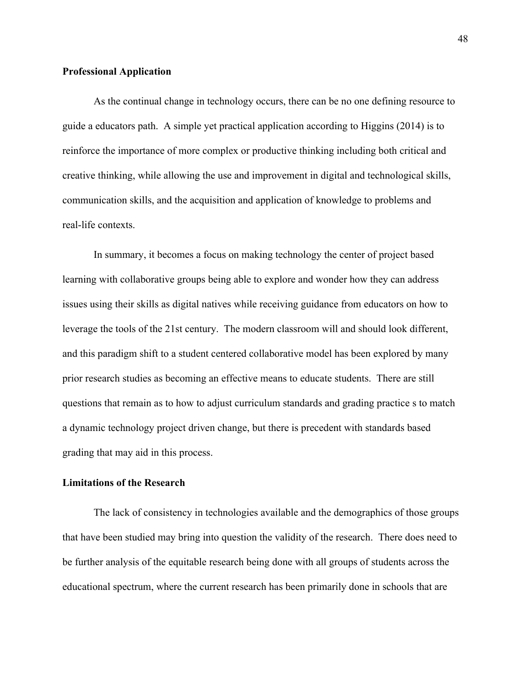### **Professional Application**

As the continual change in technology occurs, there can be no one defining resource to guide a educators path. A simple yet practical application according to Higgins (2014) is to reinforce the importance of more complex or productive thinking including both critical and creative thinking, while allowing the use and improvement in digital and technological skills, communication skills, and the acquisition and application of knowledge to problems and real-life contexts.

In summary, it becomes a focus on making technology the center of project based learning with collaborative groups being able to explore and wonder how they can address issues using their skills as digital natives while receiving guidance from educators on how to leverage the tools of the 21st century. The modern classroom will and should look different, and this paradigm shift to a student centered collaborative model has been explored by many prior research studies as becoming an effective means to educate students. There are still questions that remain as to how to adjust curriculum standards and grading practice s to match a dynamic technology project driven change, but there is precedent with standards based grading that may aid in this process.

## **Limitations of the Research**

The lack of consistency in technologies available and the demographics of those groups that have been studied may bring into question the validity of the research. There does need to be further analysis of the equitable research being done with all groups of students across the educational spectrum, where the current research has been primarily done in schools that are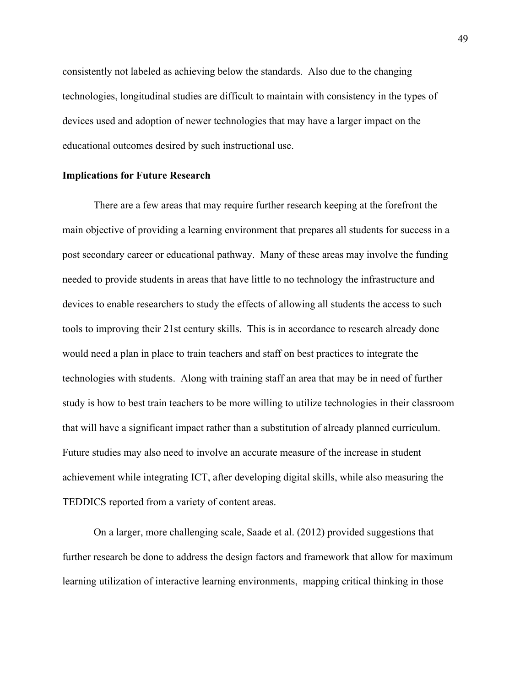consistently not labeled as achieving below the standards. Also due to the changing technologies, longitudinal studies are difficult to maintain with consistency in the types of devices used and adoption of newer technologies that may have a larger impact on the educational outcomes desired by such instructional use.

#### **Implications for Future Research**

There are a few areas that may require further research keeping at the forefront the main objective of providing a learning environment that prepares all students for success in a post secondary career or educational pathway. Many of these areas may involve the funding needed to provide students in areas that have little to no technology the infrastructure and devices to enable researchers to study the effects of allowing all students the access to such tools to improving their 21st century skills. This is in accordance to research already done would need a plan in place to train teachers and staff on best practices to integrate the technologies with students. Along with training staff an area that may be in need of further study is how to best train teachers to be more willing to utilize technologies in their classroom that will have a significant impact rather than a substitution of already planned curriculum. Future studies may also need to involve an accurate measure of the increase in student achievement while integrating ICT, after developing digital skills, while also measuring the TEDDICS reported from a variety of content areas.

On a larger, more challenging scale, Saade et al. (2012) provided suggestions that further research be done to address the design factors and framework that allow for maximum learning utilization of interactive learning environments, mapping critical thinking in those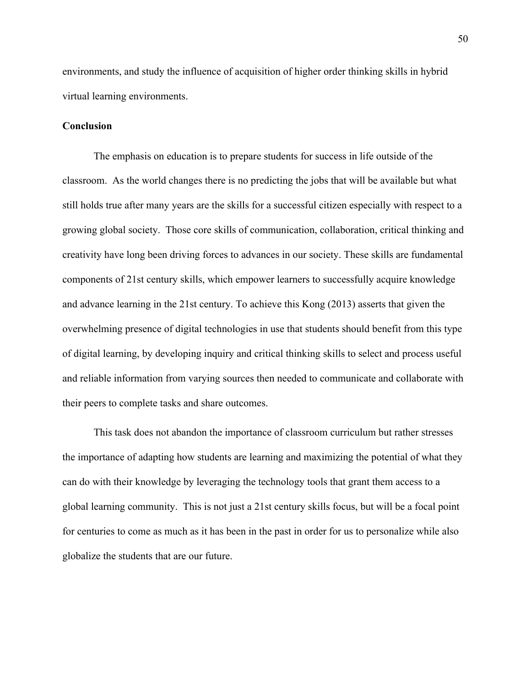environments, and study the influence of acquisition of higher order thinking skills in hybrid virtual learning environments.

### **Conclusion**

The emphasis on education is to prepare students for success in life outside of the classroom. As the world changes there is no predicting the jobs that will be available but what still holds true after many years are the skills for a successful citizen especially with respect to a growing global society. Those core skills of communication, collaboration, critical thinking and creativity have long been driving forces to advances in our society. These skills are fundamental components of 21st century skills, which empower learners to successfully acquire knowledge and advance learning in the 21st century. To achieve this Kong (2013) asserts that given the overwhelming presence of digital technologies in use that students should benefit from this type of digital learning, by developing inquiry and critical thinking skills to select and process useful and reliable information from varying sources then needed to communicate and collaborate with their peers to complete tasks and share outcomes.

This task does not abandon the importance of classroom curriculum but rather stresses the importance of adapting how students are learning and maximizing the potential of what they can do with their knowledge by leveraging the technology tools that grant them access to a global learning community. This is not just a 21st century skills focus, but will be a focal point for centuries to come as much as it has been in the past in order for us to personalize while also globalize the students that are our future.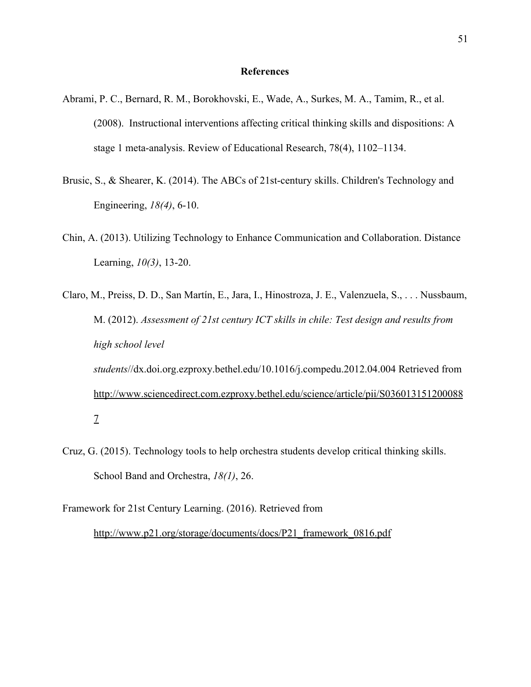#### **References**

- Abrami, P. C., Bernard, R. M., Borokhovski, E., Wade, A., Surkes, M. A., Tamim, R., et al. (2008). Instructional interventions affecting critical thinking skills and dispositions: A stage 1 meta-analysis. Review of Educational Research, 78(4), 1102–1134.
- Brusic, S., & Shearer, K. (2014). The ABCs of 21st-century skills. Children's Technology and Engineering, *18(4)*, 6-10.
- Chin, A. (2013). Utilizing Technology to Enhance Communication and Collaboration. Distance Learning, *10(3)*, 13-20.
- Claro, M., Preiss, D. D., San Martín, E., Jara, I., Hinostroza, J. E., Valenzuela, S., . . . Nussbaum, M. (2012). *Assessment of 21st century ICT skills in chile: Test design and results from high school level students*//dx.doi.org.ezproxy.bethel.edu/10.1016/j.compedu.2012.04.004 Retrieved from [http://www.sciencedirect.com.ezproxy.bethel.edu/science/article/pii/S036013151200088](http://www.sciencedirect.com.ezproxy.bethel.edu/science/article/pii/S0360131512000887) [7](http://www.sciencedirect.com.ezproxy.bethel.edu/science/article/pii/S0360131512000887)
- Cruz, G. (2015). Technology tools to help orchestra students develop critical thinking skills. School Band and Orchestra, *18(1)*, 26.
- Framework for 21st Century Learning. (2016). Retrieved from

[http://www.p21.org/storage/documents/docs/P21\\_framework\\_0816.pdf](http://www.p21.org/storage/documents/docs/P21_framework_0816.pdf)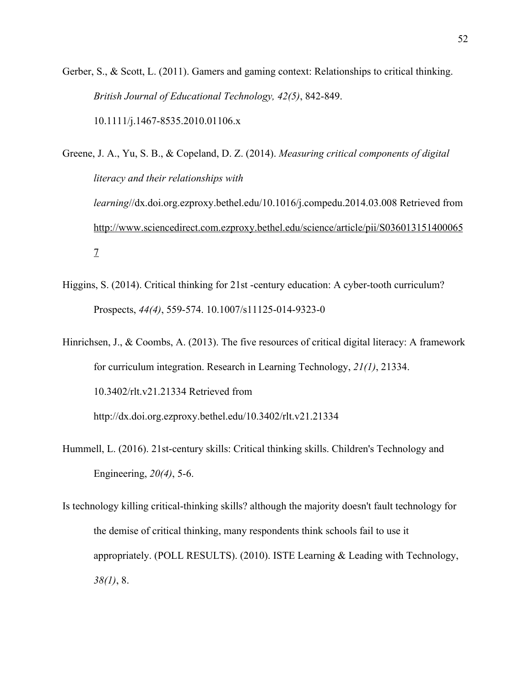Gerber, S., & Scott, L. (2011). Gamers and gaming context: Relationships to critical thinking. *British Journal of Educational Technology, 42(5)*, 842-849. 10.1111/j.1467-8535.2010.01106.x

Greene, J. A., Yu, S. B., & Copeland, D. Z. (2014). *Measuring critical components of digital literacy and their relationships with learning*//dx.doi.org.ezproxy.bethel.edu/10.1016/j.compedu.2014.03.008 Retrieved from [http://www.sciencedirect.com.ezproxy.bethel.edu/science/article/pii/S036013151400065](http://www.sciencedirect.com.ezproxy.bethel.edu/science/article/pii/S0360131514000657) [7](http://www.sciencedirect.com.ezproxy.bethel.edu/science/article/pii/S0360131514000657)

Higgins, S. (2014). Critical thinking for 21st -century education: A cyber-tooth curriculum? Prospects, *44(4)*, 559-574. 10.1007/s11125-014-9323-0

Hinrichsen, J., & Coombs, A. (2013). The five resources of critical digital literacy: A framework for curriculum integration. Research in Learning Technology, *21(1)*, 21334. 10.3402/rlt.v21.21334 Retrieved from http://dx.doi.org.ezproxy.bethel.edu/10.3402/rlt.v21.21334

Hummell, L. (2016). 21st-century skills: Critical thinking skills. Children's Technology and Engineering, *20(4)*, 5-6.

Is technology killing critical-thinking skills? although the majority doesn't fault technology for the demise of critical thinking, many respondents think schools fail to use it appropriately. (POLL RESULTS). (2010). ISTE Learning & Leading with Technology, *38(1)*, 8.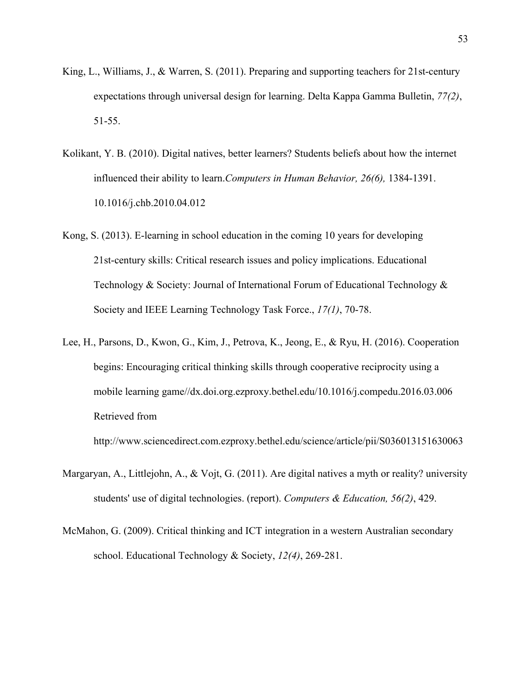- King, L., Williams, J., & Warren, S. (2011). Preparing and supporting teachers for 21st-century expectations through universal design for learning. Delta Kappa Gamma Bulletin, *77(2)*, 51-55.
- Kolikant, Y. B. (2010). Digital natives, better learners? Students beliefs about how the internet influenced their ability to learn.*Computers in Human Behavior, 26(6),* 1384-1391. 10.1016/j.chb.2010.04.012
- Kong, S. (2013). E-learning in school education in the coming 10 years for developing 21st-century skills: Critical research issues and policy implications. Educational Technology & Society: Journal of International Forum of Educational Technology & Society and IEEE Learning Technology Task Force., *17(1)*, 70-78.
- Lee, H., Parsons, D., Kwon, G., Kim, J., Petrova, K., Jeong, E., & Ryu, H. (2016). Cooperation begins: Encouraging critical thinking skills through cooperative reciprocity using a mobile learning game//dx.doi.org.ezproxy.bethel.edu/10.1016/j.compedu.2016.03.006 Retrieved from

http://www.sciencedirect.com.ezproxy.bethel.edu/science/article/pii/S036013151630063

- Margaryan, A., Littlejohn, A., & Vojt, G. (2011). Are digital natives a myth or reality? university students' use of digital technologies. (report). *Computers & Education, 56(2)*, 429.
- McMahon, G. (2009). Critical thinking and ICT integration in a western Australian secondary school. Educational Technology & Society, *12(4)*, 269-281.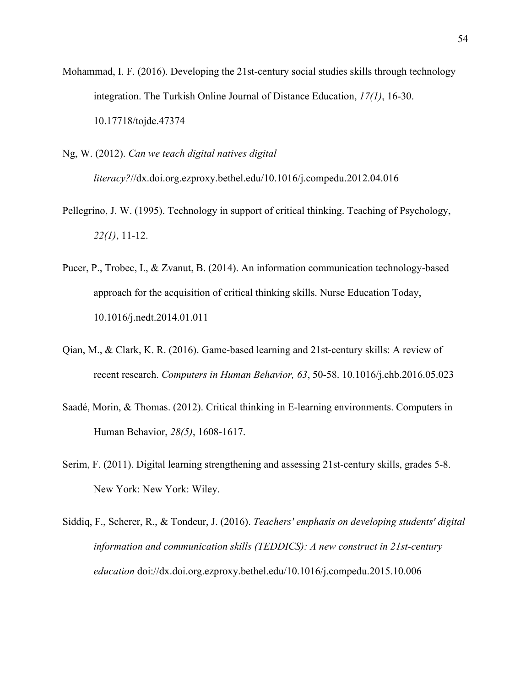- Mohammad, I. F. (2016). Developing the 21st-century social studies skills through technology integration. The Turkish Online Journal of Distance Education, *17(1)*, 16-30. 10.17718/tojde.47374
- Ng, W. (2012). *Can we teach digital natives digital literacy?*//dx.doi.org.ezproxy.bethel.edu/10.1016/j.compedu.2012.04.016
- Pellegrino, J. W. (1995). Technology in support of critical thinking. Teaching of Psychology, *22(1)*, 11-12.
- Pucer, P., Trobec, I., & Zvanut, B. (2014). An information communication technology-based approach for the acquisition of critical thinking skills. Nurse Education Today, 10.1016/j.nedt.2014.01.011
- Qian, M., & Clark, K. R. (2016). Game-based learning and 21st-century skills: A review of recent research. *Computers in Human Behavior, 63*, 50-58. 10.1016/j.chb.2016.05.023
- Saadé, Morin, & Thomas. (2012). Critical thinking in E-learning environments. Computers in Human Behavior, *28(5)*, 1608-1617.
- Serim, F. (2011). Digital learning strengthening and assessing 21st-century skills, grades 5-8. New York: New York: Wiley.
- Siddiq, F., Scherer, R., & Tondeur, J. (2016). *Teachers' emphasis on developing students' digital information and communication skills (TEDDICS): A new construct in 21st-century education* doi://dx.doi.org.ezproxy.bethel.edu/10.1016/j.compedu.2015.10.006